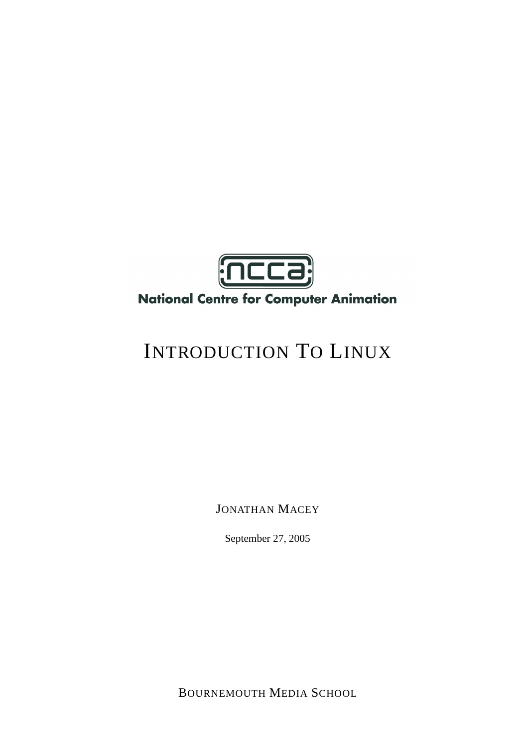

## **National Centre for Computer Animation**

# INTRODUCTION TO LINUX

JONATHAN MACEY

September 27, 2005

BOURNEMOUTH MEDIA SCHOOL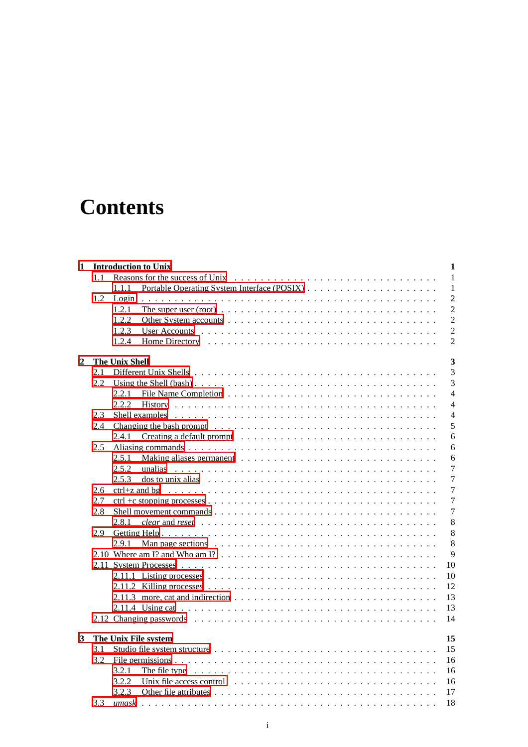## **Contents**

| 1 |     | <b>Introduction to Unix</b><br>$\mathbf{1}$                                                                                            |
|---|-----|----------------------------------------------------------------------------------------------------------------------------------------|
|   | 1.1 | 1                                                                                                                                      |
|   |     | 1.1.1<br>$\mathbf{1}$                                                                                                                  |
|   | 1.2 | $\overline{2}$<br>Login                                                                                                                |
|   |     | $\overline{2}$<br>1.2.1<br>The super user (root) $\dots \dots \dots \dots \dots \dots \dots \dots \dots \dots \dots \dots \dots \dots$ |
|   |     | 1.2.2<br>$\overline{2}$                                                                                                                |
|   |     | $\overline{2}$<br>1.2.3                                                                                                                |
|   |     | $\overline{2}$<br>1.2.4                                                                                                                |
|   |     | 3                                                                                                                                      |
| 2 | 2.1 | <b>The Unix Shell</b><br>3                                                                                                             |
|   |     |                                                                                                                                        |
|   | 2.2 | 3                                                                                                                                      |
|   |     | $\overline{4}$<br>2.2.1                                                                                                                |
|   |     | $\overline{4}$<br>2.2.2                                                                                                                |
|   | 2.3 | 4                                                                                                                                      |
|   | 2.4 | 5                                                                                                                                      |
|   |     | 6<br>2.4.1                                                                                                                             |
|   | 2.5 | 6                                                                                                                                      |
|   |     | 6<br>2.5.1                                                                                                                             |
|   |     | 2.5.2<br>$\tau$                                                                                                                        |
|   |     | $\overline{7}$<br>2.5.3<br>$\cos$ to unix alias $\cdots \cdots \cdots \cdots \cdots \cdots \cdots \cdots \cdots \cdots \cdots$         |
|   | 2.6 | $\overline{7}$                                                                                                                         |
|   | 2.7 | $\overline{7}$                                                                                                                         |
|   | 2.8 | $\overline{7}$                                                                                                                         |
|   |     | $\,8\,$<br>2.8.1<br>clear and reset $\dots \dots \dots \dots \dots \dots \dots \dots \dots \dots \dots \dots \dots \dots \dots \dots$  |
|   | 2.9 | 8                                                                                                                                      |
|   |     | 8<br>2.9.1                                                                                                                             |
|   |     | 9                                                                                                                                      |
|   |     | 10                                                                                                                                     |
|   |     | 10                                                                                                                                     |
|   |     | 12                                                                                                                                     |
|   |     | 13<br>2.11.3 more, cat and indirection $\ldots \ldots \ldots \ldots \ldots \ldots \ldots \ldots \ldots \ldots \ldots$                  |
|   |     | 13                                                                                                                                     |
|   |     | 14                                                                                                                                     |
|   |     |                                                                                                                                        |
| 3 |     | 15<br>The Unix File system                                                                                                             |
|   | 3.1 | 15                                                                                                                                     |
|   | 3.2 | 16                                                                                                                                     |
|   |     | The file type $\ldots \ldots \ldots \ldots \ldots \ldots \ldots \ldots \ldots \ldots \ldots \ldots \ldots$<br>3.2.1<br>16              |
|   |     | 3.2.2<br>16                                                                                                                            |
|   |     | 3.2.3<br>17                                                                                                                            |
|   | 3.3 | 18<br>umask<br>a dia kaominina mpikambana amin'ny fivondronan-kaominin'i Nouvelle-Aquitaine, ao amin'ny faritr'i Nouvelle-Aqu          |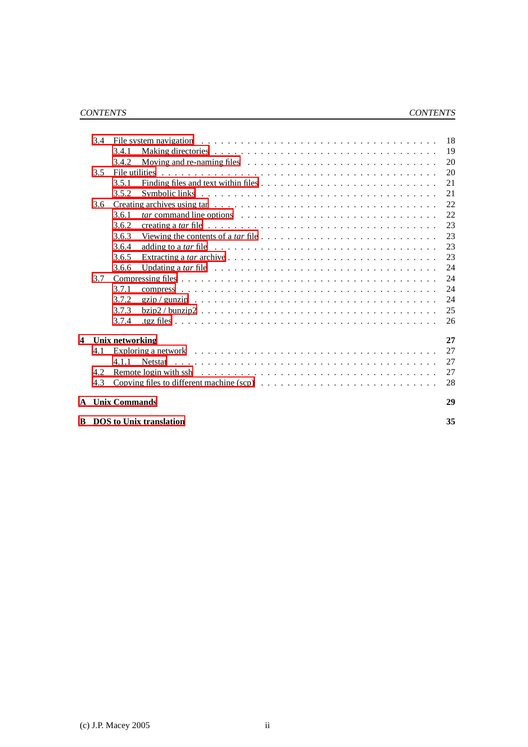|   | 3.4 |                                                                                                                     | 18 |
|---|-----|---------------------------------------------------------------------------------------------------------------------|----|
|   |     | 3.4.1                                                                                                               | 19 |
|   |     | 3.4.2                                                                                                               | 20 |
|   | 3.5 |                                                                                                                     | 20 |
|   |     | 3.5.1                                                                                                               | 21 |
|   |     | 3.5.2                                                                                                               | 21 |
|   | 3.6 |                                                                                                                     | 22 |
|   |     | 3.6.1                                                                                                               | 22 |
|   |     | creating a tar file $\ldots \ldots \ldots \ldots \ldots \ldots \ldots \ldots \ldots \ldots \ldots \ldots$<br>3.6.2  | 23 |
|   |     | Viewing the contents of a tar file $\ldots \ldots \ldots \ldots \ldots \ldots \ldots \ldots \ldots \ldots$<br>3.6.3 | 23 |
|   |     | 3.6.4<br>adding to a tar file $\ldots \ldots \ldots \ldots \ldots \ldots \ldots \ldots \ldots \ldots \ldots$        | 23 |
|   |     | 3.6.5                                                                                                               | 23 |
|   |     | Updating a tar file $\ldots \ldots \ldots \ldots \ldots \ldots \ldots \ldots \ldots \ldots \ldots \ldots$<br>3.6.6  | 24 |
|   | 3.7 |                                                                                                                     | 24 |
|   |     | 3.7.1                                                                                                               | 24 |
|   |     | 3.7.2                                                                                                               | 24 |
|   |     | 3.7.3                                                                                                               | 25 |
|   |     | 3.7.4                                                                                                               | 26 |
| 4 |     | Unix networking                                                                                                     | 27 |
|   | 4.1 | Exploring a network $\ldots \ldots \ldots \ldots \ldots \ldots \ldots \ldots \ldots \ldots \ldots \ldots \ldots$    | 27 |
|   |     | 4.1.1                                                                                                               | 27 |
|   | 4.2 |                                                                                                                     | 27 |
|   | 4.3 |                                                                                                                     | 28 |
|   |     | <b>A</b> Unix Commands                                                                                              | 29 |
|   |     | <b>B</b> DOS to Unix translation                                                                                    | 35 |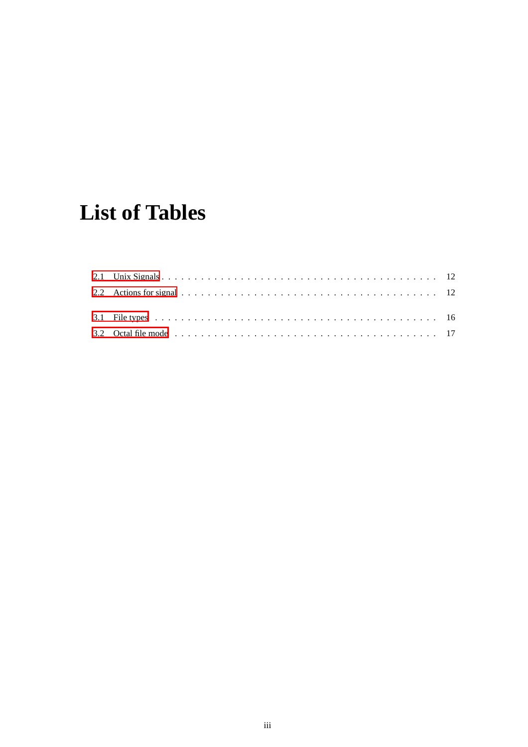## **List of Tables**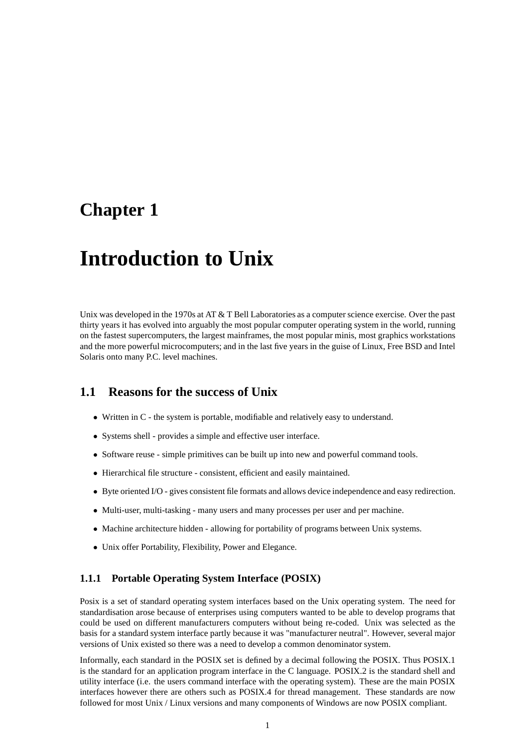## <span id="page-4-3"></span><span id="page-4-0"></span>**Chapter 1**

## **Introduction to Unix**

Unix was developed in the 1970s at AT & T Bell Laboratories as a computer science exercise. Over the past thirty years it has evolved into arguably the most popular computer operating system in the world, running on the fastest supercomputers, the largest mainframes, the most popular minis, most graphics workstations and the more powerful microcomputers; and in the last five years in the guise of Linux, Free BSD and Intel Solaris onto many P.C. level machines.

### <span id="page-4-1"></span>**1.1 Reasons for the success of Unix**

- Written in C the system is portable, modifiable and relatively easy to understand.
- Systems shell provides a simple and effective user interface.
- Software reuse simple primitives can be built up into new and powerful command tools.
- Hierarchical file structure consistent, efficient and easily maintained.
- Byte oriented I/O gives consistent file formats and allows device independence and easy redirection.
- Multi-user, multi-tasking many users and many processes per user and per machine.
- Machine architecture hidden allowing for portability of programs between Unix systems.
- Unix offer Portability, Flexibility, Power and Elegance.

#### <span id="page-4-2"></span>**1.1.1 Portable Operating System Interface (POSIX)**

Posix is a set of standard operating system interfaces based on the Unix operating system. The need for standardisation arose because of enterprises using computers wanted to be able to develop programs that could be used on different manufacturers computers without being re-coded. Unix was selected as the basis for a standard system interface partly because it was "manufacturer neutral". However, several major versions of Unix existed so there was a need to develop a common denominator system.

Informally, each standard in the POSIX set is defined by a decimal following the POSIX. Thus POSIX.1 is the standard for an application program interface in the C language. POSIX.2 is the standard shell and utility interface (i.e. the users command interface with the operating system). These are the main POSIX interfaces however there are others such as POSIX.4 for thread management. These standards are now followed for most Unix / Linux versions and many components of Windows are now POSIX compliant.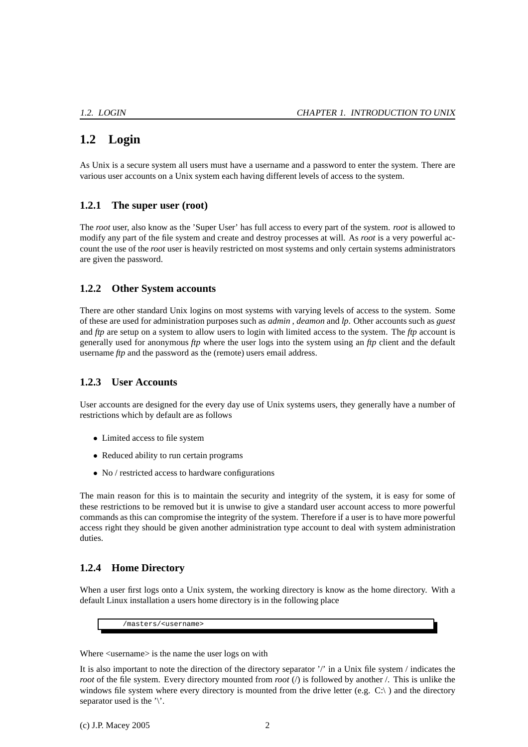## <span id="page-5-5"></span><span id="page-5-0"></span>**1.2 Login**

As Unix is a secure system all users must have a username and a password to enter the system. There are various user accounts on a Unix system each having different levels of access to the system.

### <span id="page-5-1"></span>**1.2.1 The super user (root)**

The *root* user, also know as the 'Super User' has full access to every part of the system. *root* is allowed to modify any part of the file system and create and destroy processes at will. As *root* is a very powerful account the use of the *root* user is heavily restricted on most systems and only certain systems administrators are given the password.

#### <span id="page-5-2"></span>**1.2.2 Other System accounts**

There are other standard Unix logins on most systems with varying levels of access to the system. Some of these are used for administration purposes such as *admin* , *deamon* and *lp*. Other accounts such as *guest* and *ftp* are setup on a system to allow users to login with limited access to the system. The *ftp* account is generally used for anonymous *ftp* where the user logs into the system using an *ftp* client and the default username *ftp* and the password as the (remote) users email address.

### <span id="page-5-3"></span>**1.2.3 User Accounts**

User accounts are designed for the every day use of Unix systems users, they generally have a number of restrictions which by default are as follows

- Limited access to file system
- Reduced ability to run certain programs
- No / restricted access to hardware configurations

The main reason for this is to maintain the security and integrity of the system, it is easy for some of these restrictions to be removed but it is unwise to give a standard user account access to more powerful commands as this can compromise the integrity of the system. Therefore if a user is to have more powerful access right they should be given another administration type account to deal with system administration duties.

### <span id="page-5-4"></span>**1.2.4 Home Directory**

When a user first logs onto a Unix system, the working directory is know as the home directory. With a default Linux installation a users home directory is in the following place

/masters/<username>

Where  $\leq$ username $\geq$  is the name the user logs on with

It is also important to note the direction of the directory separator '/' in a Unix file system / indicates the *root* of the file system. Every directory mounted from *root* (*/*) is followed by another /. This is unlike the windows file system where every directory is mounted from the drive letter (e.g.  $C:\rangle$ ) and the directory separator used is the  $\gamma$ .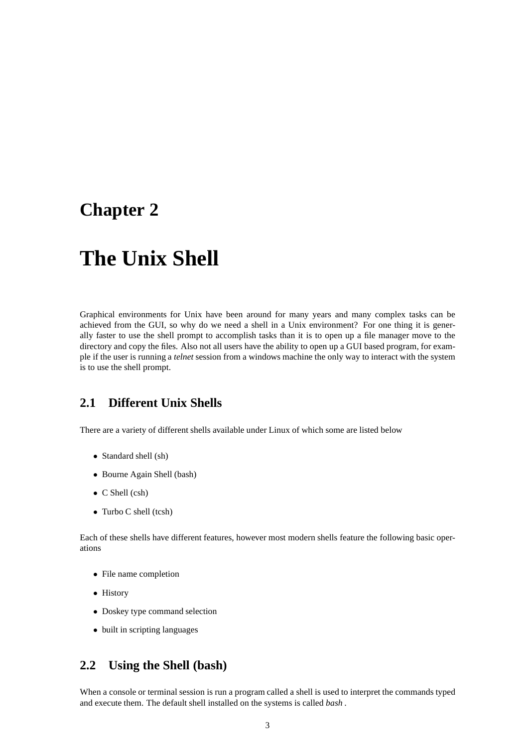## <span id="page-6-3"></span><span id="page-6-0"></span>**Chapter 2**

## **The Unix Shell**

Graphical environments for Unix have been around for many years and many complex tasks can be achieved from the GUI, so why do we need a shell in a Unix environment? For one thing it is generally faster to use the shell prompt to accomplish tasks than it is to open up a file manager move to the directory and copy the files. Also not all users have the ability to open up a GUI based program, for example if the user is running a *telnet* session from a windows machine the only way to interact with the system is to use the shell prompt.

## <span id="page-6-1"></span>**2.1 Different Unix Shells**

There are a variety of different shells available under Linux of which some are listed below

- Standard shell (sh)
- Bourne Again Shell (bash)
- C Shell (csh)
- Turbo C shell (tcsh)

Each of these shells have different features, however most modern shells feature the following basic operations

- File name completion
- History
- Doskey type command selection
- built in scripting languages

### <span id="page-6-2"></span>**2.2 Using the Shell (bash)**

When a console or terminal session is run a program called a shell is used to interpret the commands typed and execute them. The default shell installed on the systems is called *bash .*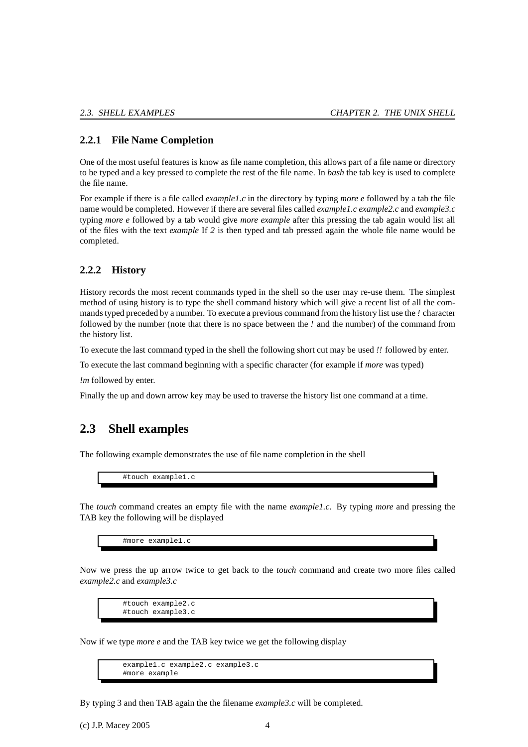#### <span id="page-7-3"></span><span id="page-7-0"></span>**2.2.1 File Name Completion**

One of the most useful features is know as file name completion, this allows part of a file name or directory to be typed and a key pressed to complete the rest of the file name. In *bash* the tab key is used to complete the file name.

For example if there is a file called *example1.c* in the directory by typing *more e* followed by a tab the file name would be completed. However if there are several files called *example1.c example2.c* and *example3.c* typing *more e* followed by a tab would give *more example* after this pressing the tab again would list all of the files with the text *example* If *2* is then typed and tab pressed again the whole file name would be completed.

#### <span id="page-7-1"></span>**2.2.2 History**

History records the most recent commands typed in the shell so the user may re-use them. The simplest method of using history is to type the shell command history which will give a recent list of all the commands typed preceded by a number. To execute a previous command from the history list use the *!* character followed by the number (note that there is no space between the *!* and the number) of the command from the history list.

To execute the last command typed in the shell the following short cut may be used *!!* followed by enter.

To execute the last command beginning with a specific character (for example if *more* was typed)

*!m* followed by enter.

<span id="page-7-2"></span>Finally the up and down arrow key may be used to traverse the history list one command at a time.

### **2.3 Shell examples**

The following example demonstrates the use of file name completion in the shell

#touch example1.c

The *touch* command creates an empty file with the name *example1.c*. By typing *more* and pressing the TAB key the following will be displayed

#more example1.c

Now we press the up arrow twice to get back to the *touch* command and create two more files called *example2.c* and *example3.c*

#touch example2.c #touch example3.c

Now if we type *more e* and the TAB key twice we get the following display

example1.c example2.c example3.c #more example

By typing 3 and then TAB again the the filename *example3.c* will be completed.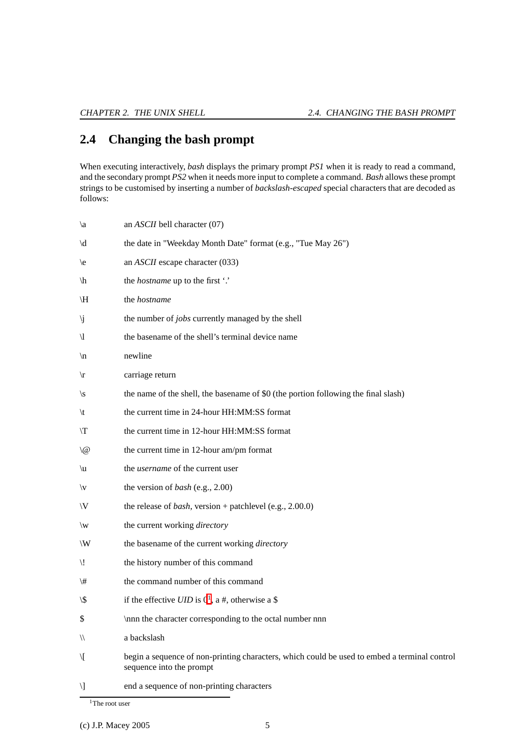## <span id="page-8-2"></span><span id="page-8-0"></span>**2.4 Changing the bash prompt**

When executing interactively, *bash* displays the primary prompt *PS1* when it is ready to read a command, and the secondary prompt *PS2* when it needs more input to complete a command. *Bash* allows these prompt strings to be customised by inserting a number of *backslash-escaped* special characters that are decoded as follows:

| $\setminus a$         | an ASCII bell character (07)                                                                                             |
|-----------------------|--------------------------------------------------------------------------------------------------------------------------|
| $\setminus d$         | the date in "Weekday Month Date" format (e.g., "Tue May 26")                                                             |
| $\backslash e$        | an <i>ASCII</i> escape character (033)                                                                                   |
| $\langle h \rangle$   | the <i>hostname</i> up to the first '.'                                                                                  |
| \H                    | the hostname                                                                                                             |
| \j                    | the number of jobs currently managed by the shell                                                                        |
| $\setminus$ l         | the basename of the shell's terminal device name                                                                         |
| $\sqrt{n}$            | newline                                                                                                                  |
| $\sqrt{r}$            | carriage return                                                                                                          |
| $\setminus s$         | the name of the shell, the basename of \$0 (the portion following the final slash)                                       |
| $\setminus t$         | the current time in 24-hour HH:MM:SS format                                                                              |
| T/                    | the current time in 12-hour HH:MM:SS format                                                                              |
| $\setminus @$         | the current time in 12-hour am/pm format                                                                                 |
| $\setminus u$         | the <i>username</i> of the current user                                                                                  |
| $\setminus\mathsf{v}$ | the version of bash (e.g., 2.00)                                                                                         |
| $\setminus\!\rm V$    | the release of <i>bash</i> , version + patchlevel (e.g., 2.00.0)                                                         |
| $\setminus w$         | the current working directory                                                                                            |
| $\setminus\!{\rm W}$  | the basename of the current working directory                                                                            |
| $\mathcal{L}$         | the history number of this command                                                                                       |
| $\backslash$ #        | the command number of this command                                                                                       |
| \\$                   | if the effective $UID$ is $01$ , a #, otherwise a \$                                                                     |
| \$                    | \nnn the character corresponding to the octal number nnn                                                                 |
| 11                    | a backslash                                                                                                              |
| \[                    | begin a sequence of non-printing characters, which could be used to embed a terminal control<br>sequence into the prompt |
| Л                     | end a sequence of non-printing characters                                                                                |
|                       |                                                                                                                          |

<span id="page-8-1"></span><sup>1</sup>The root user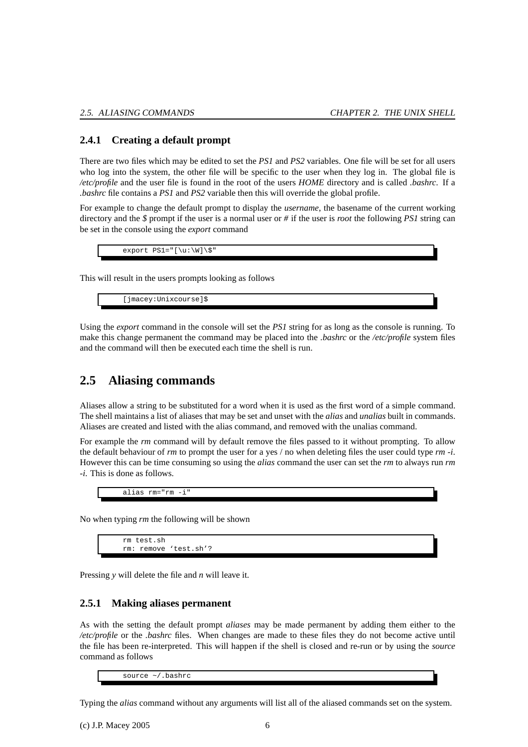#### <span id="page-9-3"></span><span id="page-9-0"></span>**2.4.1 Creating a default prompt**

There are two files which may be edited to set the *PS1* and *PS2* variables. One file will be set for all users who log into the system, the other file will be specific to the user when they log in. The global file is */etc/profile* and the user file is found in the root of the users *HOME* directory and is called *.bashrc*. If a *.bashrc* file contains a *PS1* and *PS2* variable then this will override the global profile.

For example to change the default prompt to display the *username*, the basename of the current working directory and the *\$* prompt if the user is a normal user or *#* if the user is *root* the following *PS1* string can be set in the console using the *export* command

 $\text{export} \text{PS1} = "[\u:\W]\$ 

This will result in the users prompts looking as follows

[jmacey:Unixcourse]\$

Using the *export* command in the console will set the *PS1* string for as long as the console is running. To make this change permanent the command may be placed into the *.bashrc* or the */etc/profile* system files and the command will then be executed each time the shell is run.

### <span id="page-9-1"></span>**2.5 Aliasing commands**

Aliases allow a string to be substituted for a word when it is used as the first word of a simple command. The shell maintains a list of aliases that may be set and unset with the *alias* and *unalias* built in commands. Aliases are created and listed with the alias command, and removed with the unalias command.

For example the *rm* command will by default remove the files passed to it without prompting. To allow the default behaviour of *rm* to prompt the user for a yes / no when deleting files the user could type *rm -i*. However this can be time consuming so using the *alias* command the user can set the *rm* to always run *rm -i*. This is done as follows.

alias rm="rm -i"

No when typing *rm* the following will be shown

```
rm test.sh
rm: remove 'test.sh'?
```
<span id="page-9-2"></span>Pressing *y* will delete the file and *n* will leave it.

#### **2.5.1 Making aliases permanent**

As with the setting the default prompt *aliases* may be made permanent by adding them either to the */etc/profile* or the *.bashrc* files. When changes are made to these files they do not become active until the file has been re-interpreted. This will happen if the shell is closed and re-run or by using the *source* command as follows

source ~/.bashrc

Typing the *alias* command without any arguments will list all of the aliased commands set on the system.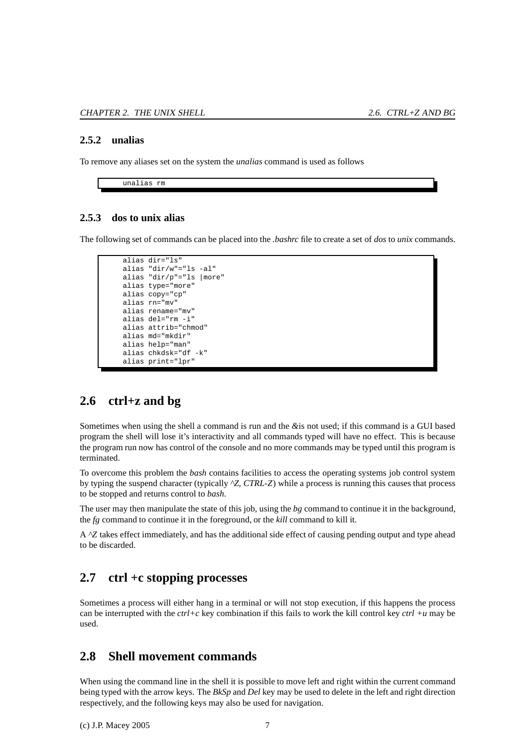#### <span id="page-10-5"></span><span id="page-10-0"></span>**2.5.2 unalias**

To remove any aliases set on the system the *unalias* command is used as follows

unalias rm

#### <span id="page-10-1"></span>**2.5.3 dos to unix alias**

The following set of commands can be placed into the *.bashrc* file to create a set of *dos* to *unix* commands.

```
alias dir="ls"
alias "dir/w"="ls -al"
alias "dir/p"="ls |more"
alias type="more"
alias copy="cp"
alias rn="mv"
alias rename="mv"
alias del="rm -i"
alias attrib="chmod"
alias md="mkdir"
alias help="man"
alias chkdsk="df -k"
alias print="lpr"
```
### <span id="page-10-2"></span>**2.6 ctrl+z and bg**

Sometimes when using the shell a command is run and the *&*is not used; if this command is a GUI based program the shell will lose it's interactivity and all commands typed will have no effect. This is because the program run now has control of the console and no more commands may be typed until this program is terminated.

To overcome this problem the *bash* contains facilities to access the operating systems job control system by typing the suspend character (typically *^Z*, *CTRL-Z*) while a process is running this causes that process to be stopped and returns control to *bash*.

The user may then manipulate the state of this job, using the *bg* command to continue it in the background, the *fg* command to continue it in the foreground, or the *kill* command to kill it.

A *^Z* takes effect immediately, and has the additional side effect of causing pending output and type ahead to be discarded.

## <span id="page-10-3"></span>**2.7 ctrl +c stopping processes**

Sometimes a process will either hang in a terminal or will not stop execution, if this happens the process can be interrupted with the *ctrl+c* key combination if this fails to work the kill control key *ctrl +u* may be used.

### <span id="page-10-4"></span>**2.8 Shell movement commands**

When using the command line in the shell it is possible to move left and right within the current command being typed with the arrow keys. The *BkSp* and *Del* key may be used to delete in the left and right direction respectively, and the following keys may also be used for navigation.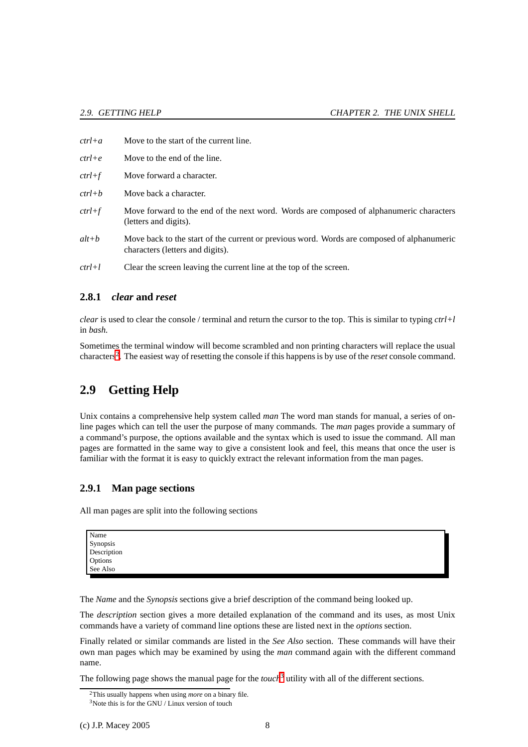- <span id="page-11-5"></span>*ctrl+a* Move to the start of the current line.
- *ctrl+e* Move to the end of the line.
- *ctrl+f* Move forward a character.
- *ctrl+b* Move back a character.
- *ctrl+f* Move forward to the end of the next word. Words are composed of alphanumeric characters (letters and digits).
- *alt+b* Move back to the start of the current or previous word. Words are composed of alphanumeric characters (letters and digits).
- <span id="page-11-0"></span>*ctrl+l* Clear the screen leaving the current line at the top of the screen.

#### **2.8.1** *clear* **and** *reset*

*clear* is used to clear the console / terminal and return the cursor to the top. This is similar to typing *ctrl+l* in *bash.*

Sometimes the terminal window will become scrambled and non printing characters will replace the usual characters[2](#page-11-3) . The easiest way of resetting the console if this happens is by use of the *reset* console command.

## <span id="page-11-1"></span>**2.9 Getting Help**

Unix contains a comprehensive help system called *man* The word man stands for manual, a series of online pages which can tell the user the purpose of many commands. The *man* pages provide a summary of a command's purpose, the options available and the syntax which is used to issue the command. All man pages are formatted in the same way to give a consistent look and feel, this means that once the user is familiar with the format it is easy to quickly extract the relevant information from the man pages.

#### <span id="page-11-2"></span>**2.9.1 Man page sections**

All man pages are split into the following sections

| Name        |  |
|-------------|--|
| Synopsis    |  |
| Description |  |
| Options     |  |
| See Also    |  |

The *Name* and the *Synopsis* sections give a brief description of the command being looked up.

The *description* section gives a more detailed explanation of the command and its uses, as most Unix commands have a variety of command line options these are listed next in the *options* section.

Finally related or similar commands are listed in the *See Also* section. These commands will have their own man pages which may be examined by using the *man* command again with the different command name.

<span id="page-11-3"></span>The following page shows the manual page for the *touch*<sup>[3](#page-11-4)</sup> utility with all of the different sections.

<sup>2</sup>This usually happens when using *more* on a binary file.

<span id="page-11-4"></span> $3$ Note this is for the GNU / Linux version of touch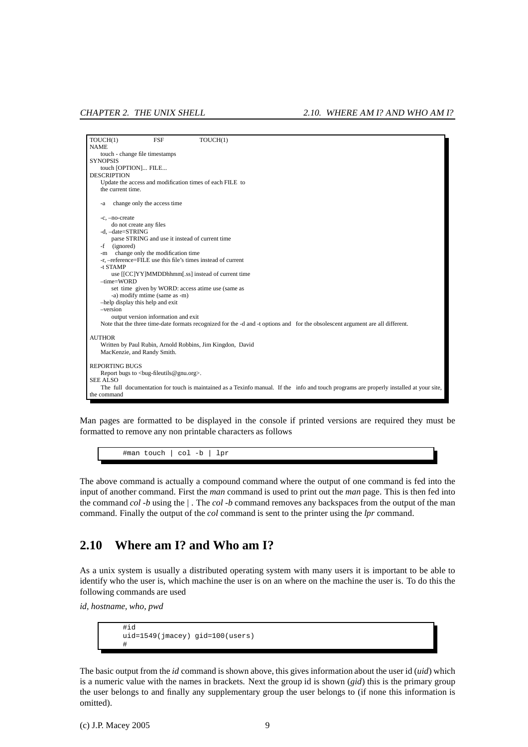<span id="page-12-1"></span>

Man pages are formatted to be displayed in the console if printed versions are required they must be formatted to remove any non printable characters as follows

#man touch | col -b | lpr

The above command is actually a compound command where the output of one command is fed into the input of another command. First the *man* command is used to print out the *man* page. This is then fed into the command *col -b* using the *|* . The *col -b* command removes any backspaces from the output of the man command. Finally the output of the *col* command is sent to the printer using the *lpr* command.

## <span id="page-12-0"></span>**2.10 Where am I? and Who am I?**

As a unix system is usually a distributed operating system with many users it is important to be able to identify who the user is, which machine the user is on an where on the machine the user is. To do this the following commands are used

*id, hostname, who, pwd*

```
#id
uid=1549(jmacey) gid=100(users)
#
```
The basic output from the *id* command is shown above, this gives information about the user id (*uid*) which is a numeric value with the names in brackets. Next the group id is shown (*gid*) this is the primary group the user belongs to and finally any supplementary group the user belongs to (if none this information is omitted).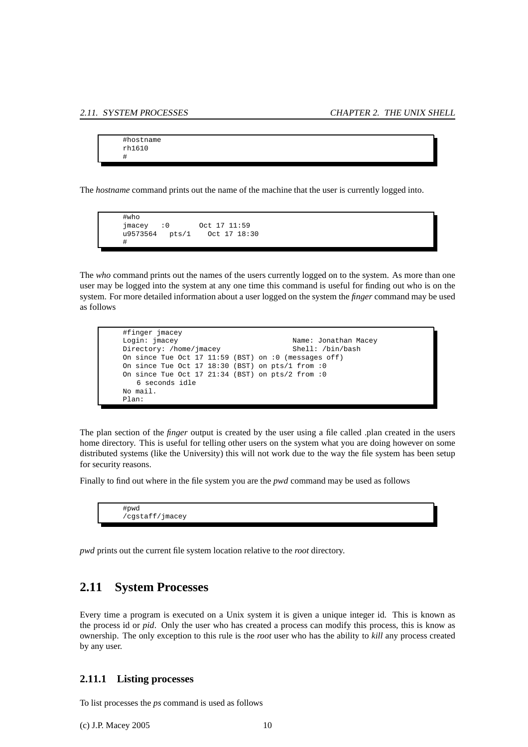```
#hostname
rh1610
#
```
The *hostname* command prints out the name of the machine that the user is currently logged into.

```
#who
jmacey :0 Oct 17 11:59<br>u9573564 pts/1 Oct 17 18:
u9573564 pts/1 Oct 17 18:30
#
```
The *who* command prints out the names of the users currently logged on to the system. As more than one user may be logged into the system at any one time this command is useful for finding out who is on the system. For more detailed information about a user logged on the system the *finger* command may be used as follows

```
#finger jmacey
Login: jmacey Name: Jonathan Macey
Directory: /home/jmacey
On since Tue Oct 17 11:59 (BST) on :0 (messages off)
On since Tue Oct 17 18:30 (BST) on pts/1 from :0
On since Tue Oct 17 21:34 (BST) on pts/2 from :0
   6 seconds idle
No mail.
Plan:
```
The plan section of the *finger* output is created by the user using a file called .plan created in the users home directory. This is useful for telling other users on the system what you are doing however on some distributed systems (like the University) this will not work due to the way the file system has been setup for security reasons.

Finally to find out where in the file system you are the *pwd* command may be used as follows

| #pwd            |  |  |
|-----------------|--|--|
| cgstaff/jmacey/ |  |  |

<span id="page-13-0"></span>*pwd* prints out the current file system location relative to the *root* directory.

### **2.11 System Processes**

Every time a program is executed on a Unix system it is given a unique integer id. This is known as the process id or *pid*. Only the user who has created a process can modify this process, this is know as ownership. The only exception to this rule is the *root* user who has the ability to *kill* any process created by any user.

#### <span id="page-13-1"></span>**2.11.1 Listing processes**

To list processes the *ps* command is used as follows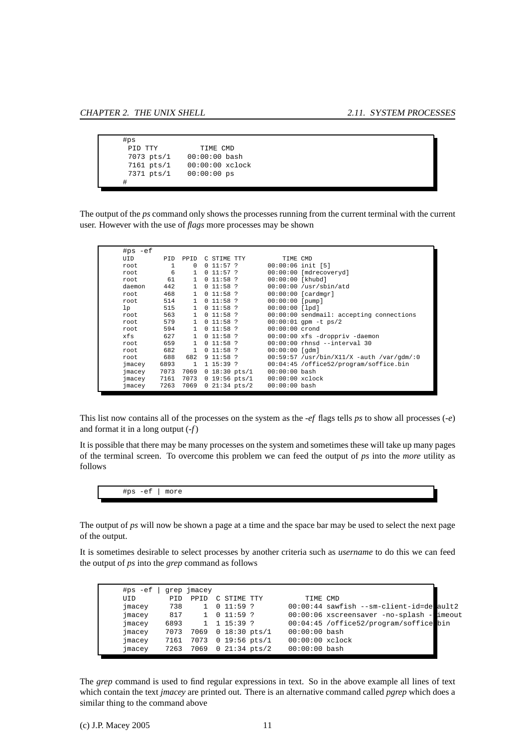<span id="page-14-0"></span>

| #ps          |                   |
|--------------|-------------------|
| פידיד חדם    | TIME CMD          |
| 7073 pts/1   | $00:00:00$ bash   |
| $7161$ pts/1 | $00:00:00$ xclock |
| 7371 pts/1   | $00:00:00$ ps     |
| #            |                   |

The output of the *ps* command only shows the processes running from the current terminal with the current user. However with the use of *flags* more processes may be shown

| $#ps -ef$ |              |              |                              |               |                    |                                             |
|-----------|--------------|--------------|------------------------------|---------------|--------------------|---------------------------------------------|
| UID       | <b>PTD</b>   | <b>PPTD</b>  | C STIME TTY                  |               | TIME CMD           |                                             |
| root      | $\mathbf{1}$ | $\Omega$     | 0 11:57?                     |               |                    | $00:00:06$ init $[5]$                       |
| root      | 6            | $\mathbf{1}$ | 0 11:57?                     |               |                    | 00:00:00 [mdrecoveryd]                      |
| root      | 61           | $\mathbf{1}$ | $0$ 11:58 ?                  |               | $00:00:00$ [khubd] |                                             |
| daemon    | 442          | $\mathbf{1}$ | 011:58?                      |               |                    | $00:00:00$ /usr/sbin/atd                    |
| root      | 468          | $\mathbf{1}$ | $0$ 11:58 ?                  |               |                    | $00:00:00$ [cardmgr]                        |
| root      | 514          | $\mathbf{1}$ | 0.11:58.2                    |               | $00:00:00$ [pump]  |                                             |
| 1p        | 515          | $\mathbf{1}$ | $0$ 11:58 ?                  |               | $00:00:00$ [lpd]   |                                             |
| root      | 563          | $\mathbf{1}$ | 0.11:58.2                    |               |                    | $00:00:00$ sendmail: accepting connections  |
| root      | 579          | $\mathbf{1}$ | $0$ 11:58 ?                  |               |                    | $00:00:01$ qpm $-t$ ps/2                    |
| root      | 594          | $\mathbf{1}$ | 0.11:58.2                    |               | $00:00:00$ crond   |                                             |
| xfs       | 627          | $\mathbf{1}$ | $0$ 11:58 ?                  |               |                    | 00:00:00 xfs -droppriv -daemon              |
| root      | 659          | $\mathbf{1}$ | 011:58?                      |               |                    | $00:00:00$ rhnsd --interval 30              |
| root      | 682          | $\mathbf{1}$ | $0, 11:58$ ?                 |               | $00:00:00$ [qdm]   |                                             |
| root      | 688          | 682          | 9 11:58?                     |               |                    | $00:59:57$ /usr/bin/X11/X -auth /var/gdm/:0 |
| jmacey    | 6893         | $\mathbf{1}$ | 1 15:39?                     |               |                    | 00:04:45 /office52/program/soffice.bin      |
| jmacey    | 7073         | 7069         | $0$ 18:30 pts/1              |               | $00:00:00$ bash    |                                             |
| jmacey    | 7161         | 7073         |                              | 0 19:56 pts/1 | $00:00:00$ xclock  |                                             |
| jmacey    | 7263         | 7069         | $0 \, 21:34 \, \text{pts}/2$ |               | $00:00:00$ bash    |                                             |

This list now contains all of the processes on the system as the *-ef* flags tells *ps* to show all processes (*-e*) and format it in a long output (*-f*)

It is possible that there may be many processes on the system and sometimes these will take up many pages of the terminal screen. To overcome this problem we can feed the output of *ps* into the *more* utility as follows

#ps -ef | more

The output of *ps* will now be shown a page at a time and the space bar may be used to select the next page of the output.

It is sometimes desirable to select processes by another criteria such as *username* to do this we can feed the output of *ps* into the *grep* command as follows

| $#ps -ef$ |      | grep jmacey    |                           |                         |                   |                                            |  |
|-----------|------|----------------|---------------------------|-------------------------|-------------------|--------------------------------------------|--|
| UID       | PID  | PPID           | C STIME TTY               |                         | TIME CMD          |                                            |  |
| jmacey    | 738  |                | 011:59?                   |                         |                   | $00:00:44$ sawfish --sm-client-id=de ault2 |  |
| jmacey    | 817  | $\overline{1}$ | 0 11:59?                  |                         |                   | 00:00:06 xscreensaver -no-splash - imeout  |  |
| jmacey    | 6893 |                | $1 \quad 1 \quad 15:39$ ? |                         |                   | 00:04:45 /office52/program/soffice bin     |  |
| jmacey    | 7073 |                |                           | 7069 0 18:30 pts/1      | $00:00:00$ bash   |                                            |  |
| jmacey    | 7161 | 7073           |                           | $0\;19:56\;{\rm pts}/1$ | $00:00:00$ xclock |                                            |  |
| jmacey    | 7263 |                |                           | 7069 0 21:34 pts/2      | $00:00:00$ bash   |                                            |  |
|           |      |                |                           |                         |                   |                                            |  |

The *grep* command is used to find regular expressions in text. So in the above example all lines of text which contain the text *jmacey* are printed out. There is an alternative command called *pgrep* which does a similar thing to the command above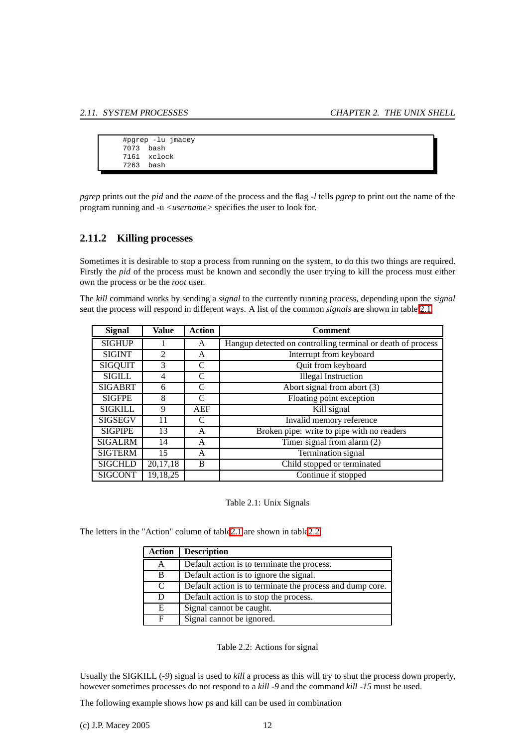<span id="page-15-3"></span>

|           | #pgrep -lu jmacey |
|-----------|-------------------|
| 7073 bash |                   |
|           | 7161 xclock       |
| 7263 bash |                   |
|           |                   |

*pgrep* prints out the *pid* and the *name* of the process and the flag *-l* tells *pgrep* to print out the name of the program running and -u *<username>* specifies the user to look for.

#### <span id="page-15-0"></span>**2.11.2 Killing processes**

Sometimes it is desirable to stop a process from running on the system, to do this two things are required. Firstly the *pid* of the process must be known and secondly the user trying to kill the process must either own the process or be the *root* user.

The *kill* command works by sending a *signal* to the currently running process, depending upon the *signal* sent the process will respond in different ways. A list of the common *signals* are shown in table [2.1.](#page-15-1)

| <b>Signal</b>                   | Value          | <b>Action</b>               | <b>Comment</b>                                              |
|---------------------------------|----------------|-----------------------------|-------------------------------------------------------------|
| <b>SIGHUP</b>                   |                | A                           | Hangup detected on controlling terminal or death of process |
| <b>SIGINT</b>                   | $\mathfrak{D}$ | A                           | Interrupt from keyboard                                     |
| <b>SIGQUIT</b>                  | 3              | C                           | Quit from keyboard                                          |
| <b>SIGILL</b>                   | 4              | $\mathcal{C}$               | <b>Illegal Instruction</b>                                  |
| <b>SIGABRT</b>                  | 6              | C                           | Abort signal from abort $(3)$                               |
| <b>SIGFPE</b>                   | 8              | $\mathcal{C}_{\mathcal{C}}$ | Floating point exception                                    |
| <b>SIGKILL</b>                  | 9              | AEF                         | Kill signal                                                 |
| <b>SIGSEGV</b>                  | 11             | C                           | Invalid memory reference                                    |
| <b>SIGPIPE</b>                  | 13             | A                           | Broken pipe: write to pipe with no readers                  |
| <b>SIGALRM</b>                  | 14             | A                           | Timer signal from alarm (2)                                 |
| <b>SIGTERM</b>                  | 15             | A                           | Termination signal                                          |
| <b>SIGCHLD</b><br>20,17,18<br>B |                |                             | Child stopped or terminated                                 |
| <b>SIGCONT</b>                  | 19,18,25       |                             | Continue if stopped                                         |

<span id="page-15-1"></span>Table 2.1: Unix Signals

The letters in the "Action" column of tabl[e2.1](#page-15-1) are shown in tabl[e2.2.](#page-15-2)

| Action | <b>Description</b>                                        |
|--------|-----------------------------------------------------------|
| А      | Default action is to terminate the process.               |
| B      | Default action is to ignore the signal.                   |
| C      | Default action is to terminate the process and dump core. |
| D      | Default action is to stop the process.                    |
| E.     | Signal cannot be caught.                                  |
| F      | Signal cannot be ignored.                                 |

<span id="page-15-2"></span>Table 2.2: Actions for signal

Usually the SIGKILL (*-9*) signal is used to *kill* a process as this will try to shut the process down properly, however sometimes processes do not respond to a *kill -9* and the command *kill -15* must be used.

The following example shows how ps and kill can be used in combination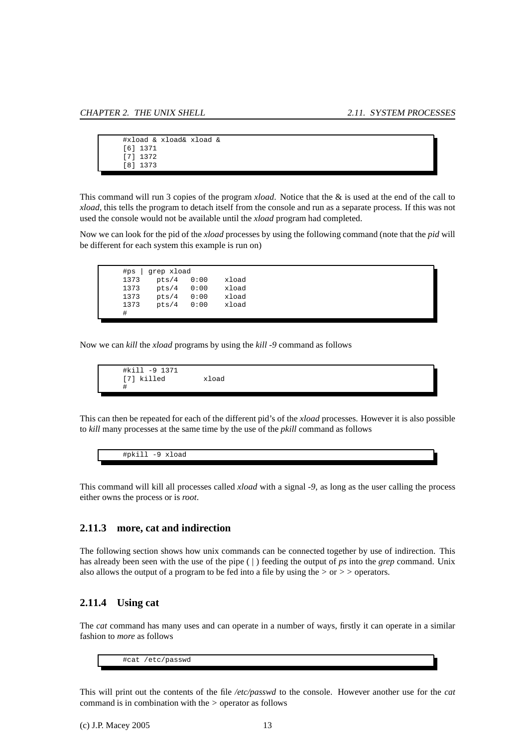```
#xload & xload& xload &
[6] 1371
[7] 1372
[8] 1373
```
This command will run 3 copies of the program *xload*. Notice that the & is used at the end of the call to *xload*, this tells the program to detach itself from the console and run as a separate process. If this was not used the console would not be available until the *xload* program had completed.

Now we can look for the pid of the *xload* processes by using the following command (note that the *pid* will be different for each system this example is run on)

| #ps  | grep xload |      |       |
|------|------------|------|-------|
| 1373 | pts/4      | 0:00 | xload |
| 1373 | pts/4      | 0:00 | xload |
| 1373 | pts/4      | 0:00 | xload |
| 1373 | pts/4      | 0:00 | xload |
| #    |            |      |       |

Now we can *kill* the *xload* programs by using the *kill -9* command as follows

#kill -9 1371 [7] killed xload #

This can then be repeated for each of the different pid's of the *xload* processes. However it is also possible to *kill* many processes at the same time by the use of the *pkill* command as follows

#pkill -9 xload

This command will kill all processes called *xload* with a signal *-9*, as long as the user calling the process either owns the process or is *root*.

#### <span id="page-16-0"></span>**2.11.3 more, cat and indirection**

The following section shows how unix commands can be connected together by use of indirection. This has already been seen with the use of the pipe ( | ) feeding the output of *ps* into the *grep* command. Unix also allows the output of a program to be fed into a file by using the *>* or *> >* operators.

### <span id="page-16-1"></span>**2.11.4 Using cat**

The *cat* command has many uses and can operate in a number of ways, firstly it can operate in a similar fashion to *more* as follows

#cat /etc/passwd

This will print out the contents of the file */etc/passwd* to the console. However another use for the *cat* command is in combination with the *>* operator as follows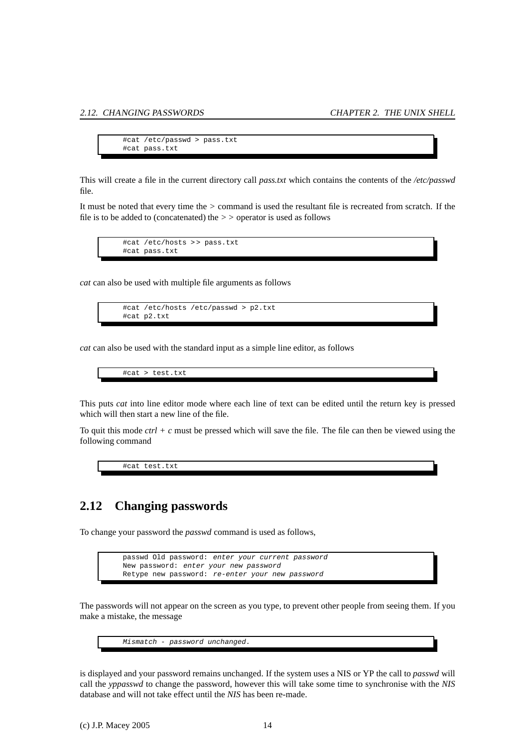```
#cat /etc/passwd > pass.txt
#cat pass.txt
```
<span id="page-17-1"></span>This will create a file in the current directory call *pass.txt* which contains the contents of the */etc/passwd* file.

It must be noted that every time the *>* command is used the resultant file is recreated from scratch. If the file is to be added to (concatenated) the *> >* operator is used as follows

#cat /etc/hosts > > pass.txt #cat pass.txt

*cat* can also be used with multiple file arguments as follows

```
#cat /etc/hosts /etc/passwd > p2.txt
#cat p2.txt
```
*cat* can also be used with the standard input as a simple line editor, as follows

```
#cat > test.txt
```
This puts *cat* into line editor mode where each line of text can be edited until the return key is pressed which will then start a new line of the file.

To quit this mode *ctrl + c* must be pressed which will save the file. The file can then be viewed using the following command

#cat test.txt

## <span id="page-17-0"></span>**2.12 Changing passwords**

To change your password the *passwd* command is used as follows,

passwd Old password: enter your current password New password: enter your new password Retype new password: re-enter your new password

The passwords will not appear on the screen as you type, to prevent other people from seeing them. If you make a mistake, the message



is displayed and your password remains unchanged. If the system uses a NIS or YP the call to *passwd* will call the *yppasswd* to change the password, however this will take some time to synchronise with the *NIS* database and will not take effect until the *NIS* has been re-made.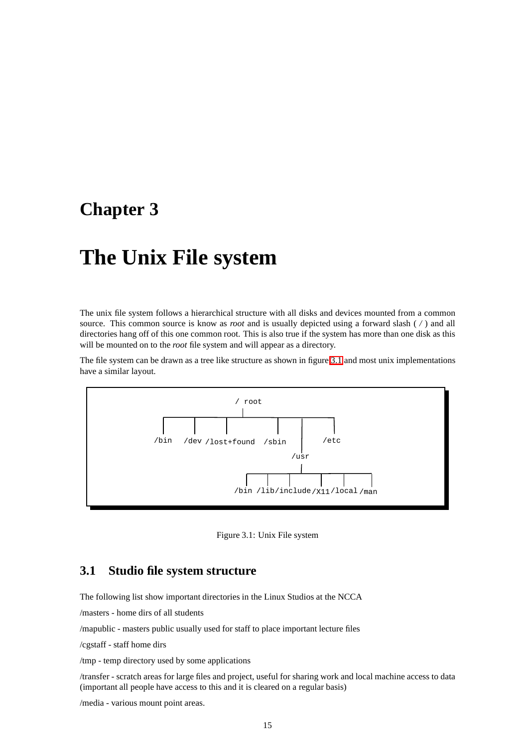## <span id="page-18-3"></span><span id="page-18-0"></span>**Chapter 3**

## **The Unix File system**

The unix file system follows a hierarchical structure with all disks and devices mounted from a common source. This common source is know as *root* and is usually depicted using a forward slash ( */* ) and all directories hang off of this one common root. This is also true if the system has more than one disk as this will be mounted on to the *root* file system and will appear as a directory.

The file system can be drawn as a tree like structure as shown in figure [3.1](#page-18-2) and most unix implementations have a similar layout.



<span id="page-18-2"></span>Figure 3.1: Unix File system

### <span id="page-18-1"></span>**3.1 Studio file system structure**

The following list show important directories in the Linux Studios at the NCCA

/masters - home dirs of all students

/mapublic - masters public usually used for staff to place important lecture files

/cgstaff - staff home dirs

/tmp - temp directory used by some applications

/transfer - scratch areas for large files and project, useful for sharing work and local machine access to data (important all people have access to this and it is cleared on a regular basis)

/media - various mount point areas.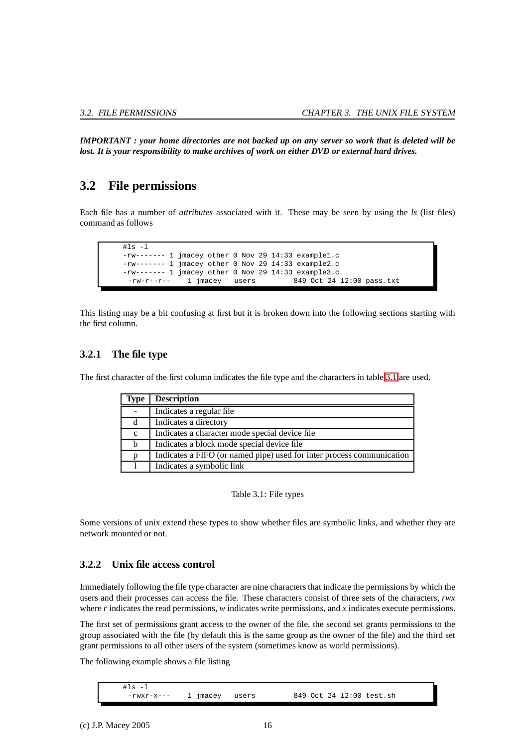<span id="page-19-4"></span>*IMPORTANT : your home directories are not backed up on any server so work that is deleted will be lost. It is your responsibility to make archives of work on either DVD or external hard drives.*

## <span id="page-19-0"></span>**3.2 File permissions**

Each file has a number of *attributes* associated with it. These may be seen by using the *ls* (list files) command as follows

 $#ls -1$ -rw------- 1 jmacey other 0 Nov 29 14:33 example1.c -rw------- 1 jmacey other 0 Nov 29 14:33 example2.c -rw------- 1 jmacey other 0 Nov 29 14:33 example3.c -rw-r--r-- 1 jmacey users 849 Oct 24 12:00 pass.txt

This listing may be a bit confusing at first but it is broken down into the following sections starting with the first column.

#### <span id="page-19-1"></span>**3.2.1 The file type**

The first character of the first column indicates the file type and the characters in table [3.1](#page-19-3) are used.

| <b>Type</b> | <b>Description</b>                                                    |
|-------------|-----------------------------------------------------------------------|
|             | Indicates a regular file.                                             |
| d           | Indicates a directory                                                 |
| $\mathbf c$ | Indicates a character mode special device file                        |
| b           | Indicates a block mode special device file                            |
| p           | Indicates a FIFO (or named pipe) used for inter process communication |
|             | Indicates a symbolic link                                             |

<span id="page-19-3"></span>Table 3.1: File types

Some versions of unix extend these types to show whether files are symbolic links, and whether they are network mounted or not.

### <span id="page-19-2"></span>**3.2.2 Unix file access control**

Immediately following the file type character are nine characters that indicate the permissions by which the users and their processes can access the file. These characters consist of three sets of the characters, *rwx* where *r* indicates the read permissions, *w* indicates write permissions, and *x* indicates execute permissions.

The first set of permissions grant access to the owner of the file, the second set grants permissions to the group associated with the file (by default this is the same group as the owner of the file) and the third set grant permissions to all other users of the system (sometimes know as world permissions).

The following example shows a file listing

 $#1s -1$ -rwxr-x--- 1 jmacey users 849 Oct 24 12:00 test.sh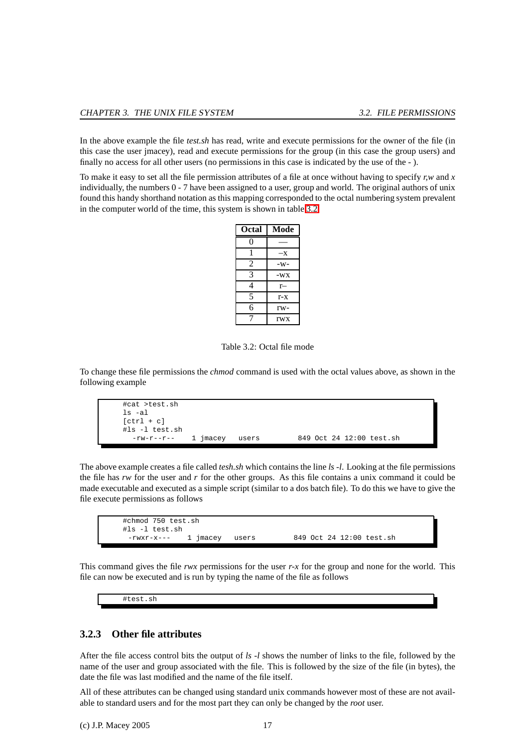<span id="page-20-2"></span>In the above example the file *test.sh* has read, write and execute permissions for the owner of the file (in this case the user jmacey), read and execute permissions for the group (in this case the group users) and finally no access for all other users (no permissions in this case is indicated by the use of the - ).

To make it easy to set all the file permission attributes of a file at once without having to specify *r,w* and *x* individually, the numbers 0 - 7 have been assigned to a user, group and world. The original authors of unix found this handy shorthand notation as this mapping corresponded to the octal numbering system prevalent in the computer world of the time, this system is shown in table [3.2](#page-20-1)

| Octal          | Mode       |
|----------------|------------|
| 0              |            |
|                | —х         |
| 2              | -w-        |
| 3              | -WX        |
| 4              | r—         |
| $\overline{5}$ | r-x        |
| б              | rw-        |
| 7              | <b>rwx</b> |

<span id="page-20-1"></span>Table 3.2: Octal file mode

To change these file permissions the *chmod* command is used with the octal values above, as shown in the following example



The above example creates a file called *tesh.sh* which contains the line *ls -l*. Looking at the file permissions the file has *rw* for the user and *r* for the other groups. As this file contains a unix command it could be made executable and executed as a simple script (similar to a dos batch file). To do this we have to give the file execute permissions as follows

| #chmod 750 test.sh<br>#ls -l test.sh |          |       |                          |
|--------------------------------------|----------|-------|--------------------------|
| -rwxr-x---                           | 1 imacey | users | 849 Oct 24 12:00 test.sh |

This command gives the file *rwx* permissions for the user *r-x* for the group and none for the world. This file can now be executed and is run by typing the name of the file as follows

#test.sh

#### <span id="page-20-0"></span>**3.2.3 Other file attributes**

After the file access control bits the output of *ls -l* shows the number of links to the file, followed by the name of the user and group associated with the file. This is followed by the size of the file (in bytes), the date the file was last modified and the name of the file itself.

All of these attributes can be changed using standard unix commands however most of these are not available to standard users and for the most part they can only be changed by the *root* user.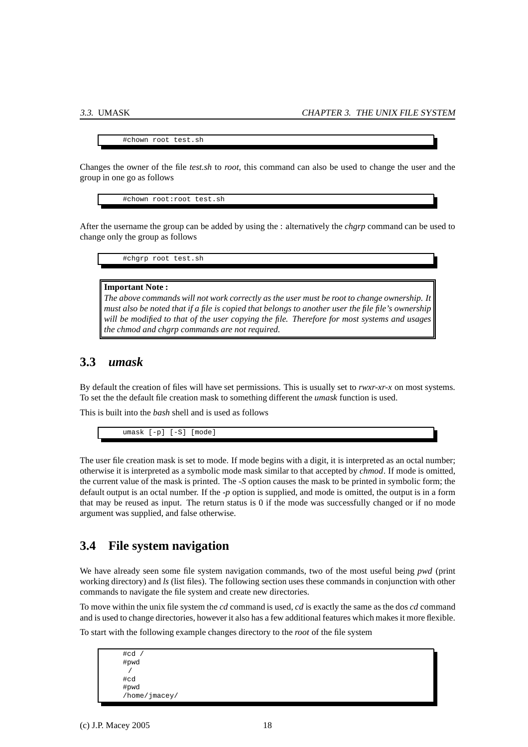#chown root test.sh

<span id="page-21-2"></span>Changes the owner of the file *test.sh* to *root*, this command can also be used to change the user and the group in one go as follows

#chown root:root test.sh

After the username the group can be added by using the : alternatively the *chgrp* command can be used to change only the group as follows

#chgrp root test.sh

#### **Important Note :**

*The above commands will not work correctly as the user must be root to change ownership. It must also be noted that if a file is copied that belongs to another user the file file's ownership will be modified to that of the user copying the file. Therefore for most systems and usages the chmod and chgrp commands are not required.*

### <span id="page-21-0"></span>**3.3** *umask*

By default the creation of files will have set permissions. This is usually set to *rwxr-xr-x* on most systems. To set the the default file creation mask to something different the *umask* function is used.

This is built into the *bash* shell and is used as follows

umask [-p] [-S] [mode]

The user file creation mask is set to mode. If mode begins with a digit, it is interpreted as an octal number; otherwise it is interpreted as a symbolic mode mask similar to that accepted by *chmod*. If mode is omitted, the current value of the mask is printed. The *-S* option causes the mask to be printed in symbolic form; the default output is an octal number. If the *-p* option is supplied, and mode is omitted, the output is in a form that may be reused as input. The return status is 0 if the mode was successfully changed or if no mode argument was supplied, and false otherwise.

### <span id="page-21-1"></span>**3.4 File system navigation**

We have already seen some file system navigation commands, two of the most useful being *pwd* (print working directory) and *ls* (list files). The following section uses these commands in conjunction with other commands to navigate the file system and create new directories.

To move within the unix file system the *cd* command is used, *cd* is exactly the same as the dos *cd* command and is used to change directories, however it also has a few additional features which makes it more flexible.

To start with the following example changes directory to the *root* of the file system

 $F \cap H$ #pwd /  $H \cap \overline{A}$ #pwd /home/jmacey/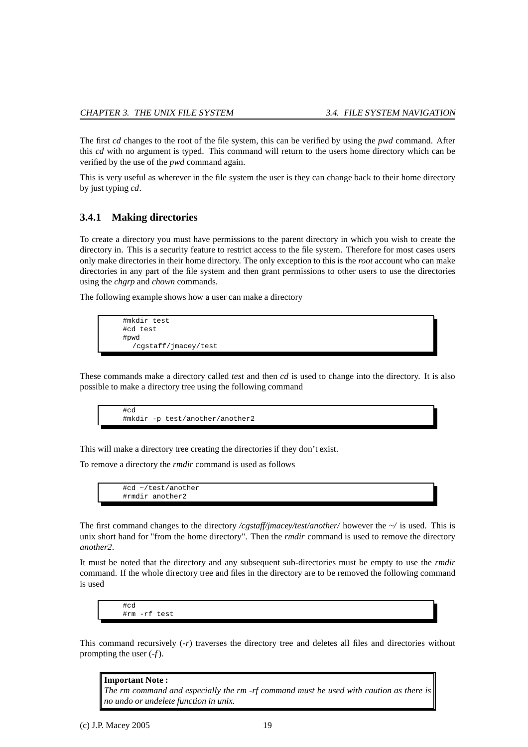<span id="page-22-1"></span>The first *cd* changes to the root of the file system, this can be verified by using the *pwd* command. After this *cd* with no argument is typed. This command will return to the users home directory which can be verified by the use of the *pwd* command again.

This is very useful as wherever in the file system the user is they can change back to their home directory by just typing *cd*.

#### <span id="page-22-0"></span>**3.4.1 Making directories**

To create a directory you must have permissions to the parent directory in which you wish to create the directory in. This is a security feature to restrict access to the file system. Therefore for most cases users only make directories in their home directory. The only exception to this is the *root* account who can make directories in any part of the file system and then grant permissions to other users to use the directories using the *chgrp* and *chown* commands.

The following example shows how a user can make a directory

```
#mkdir test
#cd test
#pwd
  /cgstaff/jmacey/test
```
These commands make a directory called *test* and then *cd* is used to change into the directory. It is also possible to make a directory tree using the following command



This will make a directory tree creating the directories if they don't exist.

To remove a directory the *rmdir* command is used as follows

#cd ~/test/another #rmdir another2

The first command changes to the directory */cgstaff/jmacey/test/another/* however the *~/* is used. This is unix short hand for "from the home directory". Then the *rmdir* command is used to remove the directory *another2*.

It must be noted that the directory and any subsequent sub-directories must be empty to use the *rmdir* command. If the whole directory tree and files in the directory are to be removed the following command is used

#cd #rm -rf test

This command recursively (*-r*) traverses the directory tree and deletes all files and directories without prompting the user (*-f*).

**Important Note :** *The rm command and especially the rm -rf command must be used with caution as there is no undo or undelete function in unix.*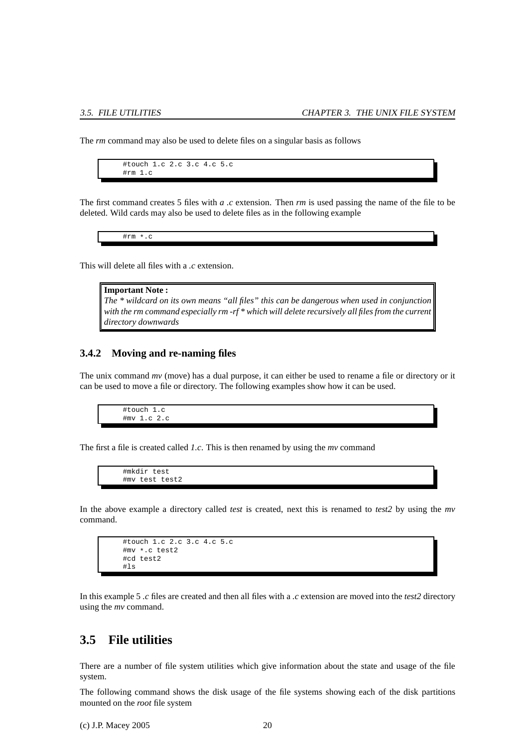<span id="page-23-2"></span>The *rm* command may also be used to delete files on a singular basis as follows



The first command creates 5 files with *a .c* extension. Then *rm* is used passing the name of the file to be deleted. Wild cards may also be used to delete files as in the following example

#rm \*.c

This will delete all files with a *.c* extension.

| <b>Important Note:</b>                                                                             |
|----------------------------------------------------------------------------------------------------|
| The $*$ wildcard on its own means "all files" this can be dangerous when used in conjunction       |
| with the rm command especially rm -rf $*$ which will delete recursively all files from the current |
| directory downwards                                                                                |

#### <span id="page-23-0"></span>**3.4.2 Moving and re-naming files**

The unix command *mv* (move) has a dual purpose, it can either be used to rename a file or directory or it can be used to move a file or directory. The following examples show how it can be used.

> #touch 1.c #mv 1.c 2.c

The first a file is created called *1.c*. This is then renamed by using the *mv* command

#mkdir test #mv test test2

In the above example a directory called *test* is created, next this is renamed to *test2* by using the *mv* command.

```
#touch 1.c 2.c 3.c 4.c 5.c
#mv *.c test2
#cd test2
#ls
```
In this example 5 *.c* files are created and then all files with a *.c* extension are moved into the *test2* directory using the *mv* command.

### <span id="page-23-1"></span>**3.5 File utilities**

There are a number of file system utilities which give information about the state and usage of the file system.

The following command shows the disk usage of the file systems showing each of the disk partitions mounted on the *root* file system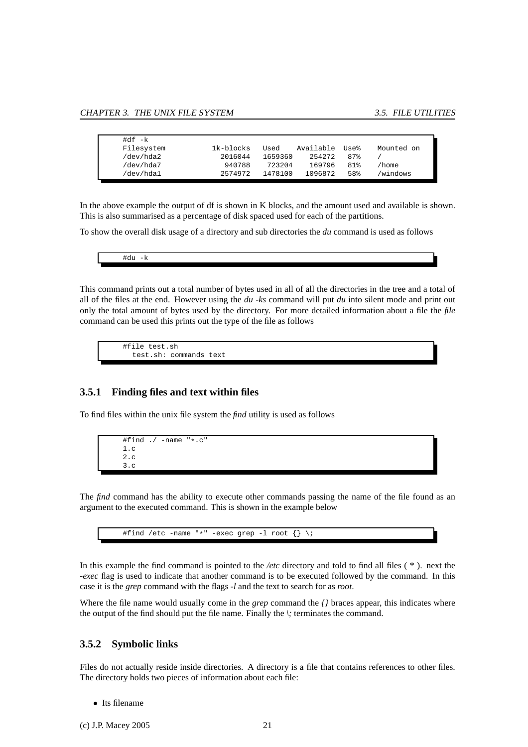<span id="page-24-2"></span>

| #df -k     |           |         |           |      |            |  |
|------------|-----------|---------|-----------|------|------------|--|
| Filesystem | 1k-blocks | Used    | Available | Use% | Mounted on |  |
| /dev/hda2  | 2016044   | 1659360 | 254272    | 87%  |            |  |
| /dev/hda7  | 940788    | 723204  | 169796    | 81%  | 'home      |  |
| /dev/hda1  | 2574972   | 1478100 | 1096872   | 58%  | /windows   |  |

In the above example the output of df is shown in K blocks, and the amount used and available is shown. This is also summarised as a percentage of disk spaced used for each of the partitions.

To show the overall disk usage of a directory and sub directories the *du* command is used as follows

| $\overline{\phantom{0}}$<br>$\overline{\phantom{a}}$ |
|------------------------------------------------------|
|                                                      |

This command prints out a total number of bytes used in all of all the directories in the tree and a total of all of the files at the end. However using the *du -ks* command will put *du* into silent mode and print out only the total amount of bytes used by the directory. For more detailed information about a file the *file* command can be used this prints out the type of the file as follows

#file test.sh test.sh: commands text

#### <span id="page-24-0"></span>**3.5.1 Finding files and text within files**

To find files within the unix file system the *find* utility is used as follows

```
#find ./ -name "*.c"
1.c
2.c
3.c
```
The *find* command has the ability to execute other commands passing the name of the file found as an argument to the executed command. This is shown in the example below



In this example the find command is pointed to the */etc* directory and told to find all files ( \* ). next the *-exec* flag is used to indicate that another command is to be executed followed by the command. In this case it is the *grep* command with the flags *-l* and the text to search for as *root*.

Where the file name would usually come in the *grep* command the *{}* braces appear, this indicates where the output of the find should put the file name. Finally the *\;* terminates the command.

#### <span id="page-24-1"></span>**3.5.2 Symbolic links**

Files do not actually reside inside directories. A directory is a file that contains references to other files. The directory holds two pieces of information about each file:

• Its filename

(c) J.P. Macey 2005 21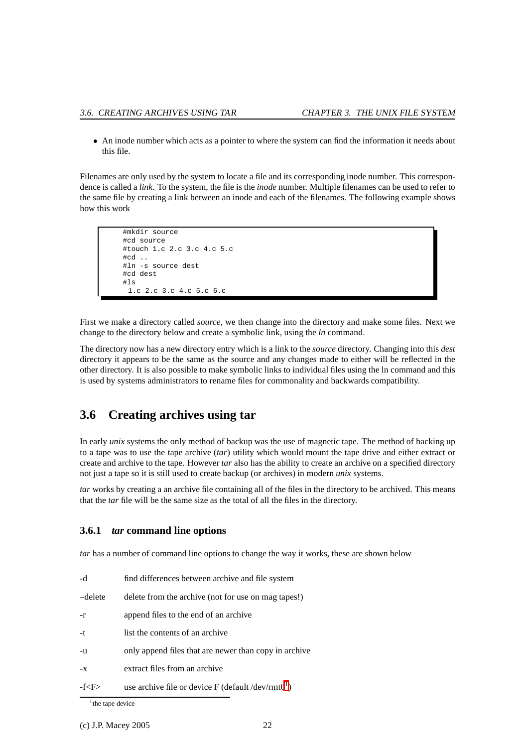<span id="page-25-3"></span>• An inode number which acts as a pointer to where the system can find the information it needs about this file.

Filenames are only used by the system to locate a file and its corresponding inode number. This correspondence is called a *link*. To the system, the file is the *inode* number. Multiple filenames can be used to refer to the same file by creating a link between an inode and each of the filenames. The following example shows how this work

```
#mkdir source
#cd source
#touch 1.c 2.c 3.c 4.c 5.c
#cd ..
#ln -s source dest
#cd dest
#1s1.c 2.c 3.c 4.c 5.c 6.c
```
First we make a directory called *source*, we then change into the directory and make some files. Next we change to the directory below and create a symbolic link, using the *ln* command.

The directory now has a new directory entry which is a link to the *source* directory. Changing into this *dest* directory it appears to be the same as the source and any changes made to either will be reflected in the other directory. It is also possible to make symbolic links to individual files using the ln command and this is used by systems administrators to rename files for commonality and backwards compatibility.

## <span id="page-25-0"></span>**3.6 Creating archives using tar**

In early *unix* systems the only method of backup was the use of magnetic tape. The method of backing up to a tape was to use the tape archive (*tar*) utility which would mount the tape drive and either extract or create and archive to the tape. However *tar* also has the ability to create an archive on a specified directory not just a tape so it is still used to create backup (or archives) in modern *unix* systems.

*tar* works by creating a an archive file containing all of the files in the directory to be archived. This means that the *tar* file will be the same size as the total of all the files in the directory.

#### <span id="page-25-1"></span>**3.6.1** *tar* **command line options**

*tar* has a number of command line options to change the way it works, these are shown below

| -d         | find differences between archive and file system               |  |
|------------|----------------------------------------------------------------|--|
| –delete    | delete from the archive (not for use on mag tapes!)            |  |
| -r         | append files to the end of an archive                          |  |
| -t         | list the contents of an archive                                |  |
| -u         | only append files that are newer than copy in archive          |  |
| -X         | extract files from an archive                                  |  |
| -f <f></f> | use archive file or device F (default /dev/rmt0 <sup>1</sup> ) |  |

<span id="page-25-2"></span><sup>&</sup>lt;sup>1</sup> the tape device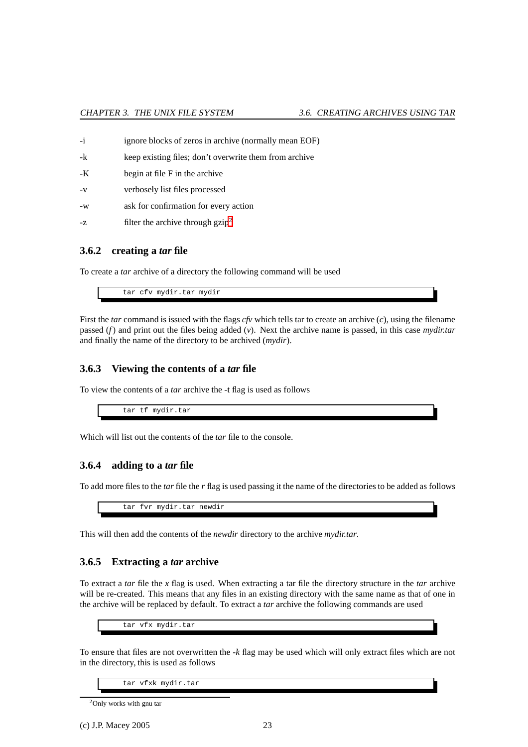| $-i$ | ignore blocks of zeros in archive (normally mean EOF)  |
|------|--------------------------------------------------------|
| -k   | keep existing files; don't overwrite them from archive |
| -K   | begin at file F in the archive                         |
| $-V$ | verbosely list files processed                         |
| $-W$ | ask for confirmation for every action                  |
| $-Z$ | filter the archive through $g_{\rm Zip}^2$             |

#### <span id="page-26-0"></span>**3.6.2 creating a** *tar* **file**

To create a *tar* archive of a directory the following command will be used

tar cfv mydir.tar mydir

First the *tar* command is issued with the flags *cfv* which tells tar to create an archive (*c*), using the filename passed (*f*) and print out the files being added (*v*). Next the archive name is passed, in this case *mydir.tar* and finally the name of the directory to be archived (*mydir*).

#### <span id="page-26-1"></span>**3.6.3 Viewing the contents of a** *tar* **file**

To view the contents of a *tar* archive the -t flag is used as follows

tar tf mydir.tar

<span id="page-26-2"></span>Which will list out the contents of the *tar* file to the console.

#### **3.6.4 adding to a** *tar* **file**

To add more files to the *tar* file the *r* flag is used passing it the name of the directories to be added as follows

tar fvr mydir.tar newdir

This will then add the contents of the *newdir* directory to the archive *mydir.tar*.

#### <span id="page-26-3"></span>**3.6.5 Extracting a** *tar* **archive**

To extract a *tar* file the *x* flag is used. When extracting a tar file the directory structure in the *tar* archive will be re-created. This means that any files in an existing directory with the same name as that of one in the archive will be replaced by default. To extract a *tar* archive the following commands are used

tar vfx mydir.tar

To ensure that files are not overwritten the *-k* flag may be used which will only extract files which are not in the directory, this is used as follows

tar vfxk mydir.tar

```
2Only works with gnu tar
```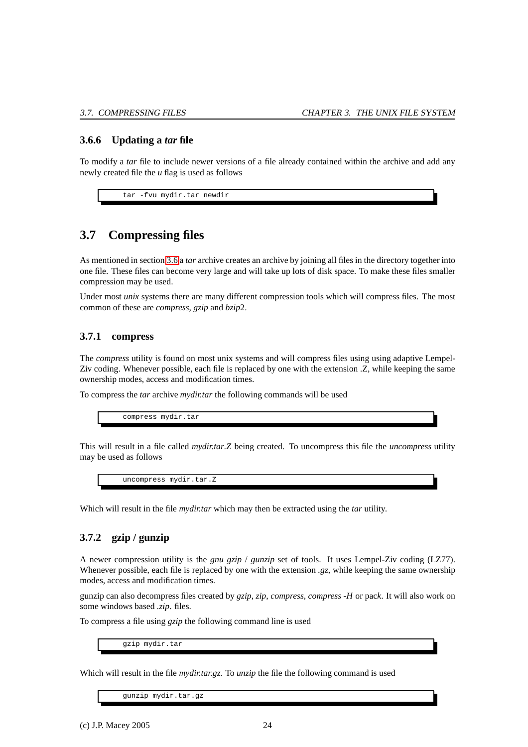#### <span id="page-27-4"></span><span id="page-27-0"></span>**3.6.6 Updating a** *tar* **file**

To modify a *tar* file to include newer versions of a file already contained within the archive and add any newly created file the *u* flag is used as follows

tar -fvu mydir.tar newdir

## <span id="page-27-1"></span>**3.7 Compressing files**

As mentioned in section [3.6](#page-25-0) a *tar* archive creates an archive by joining all files in the directory together into one file. These files can become very large and will take up lots of disk space. To make these files smaller compression may be used.

Under most *unix* systems there are many different compression tools which will compress files. The most common of these are *compress*, *gzip* and *bzip*2.

#### <span id="page-27-2"></span>**3.7.1 compress**

The *compress* utility is found on most unix systems and will compress files using using adaptive Lempel-Ziv coding. Whenever possible, each file is replaced by one with the extension .Z, while keeping the same ownership modes, access and modification times.

To compress the *tar* archive *mydir.tar* the following commands will be used

compress mydir.tar

This will result in a file called *mydir.tar.Z* being created. To uncompress this file the *uncompress* utility may be used as follows

uncompress mydir.tar.Z

Which will result in the file *mydir.tar* which may then be extracted using the *tar* utility.

### <span id="page-27-3"></span>**3.7.2 gzip / gunzip**

A newer compression utility is the *gnu gzip* / *gunzip* set of tools. It uses Lempel-Ziv coding (LZ77). Whenever possible, each file is replaced by one with the extension *.gz*, while keeping the same ownership modes, access and modification times.

gunzip can also decompress files created by *gzip*, *zip*, *compress*, *compress -H* or pac*k*. It will also work on some windows based *.zip*. files.

To compress a file using *gzip* the following command line is used

gzip mydir.tar

Which will result in the file *mydir.tar.gz.* To *unzip* the file the following command is used

gunzip mydir.tar.gz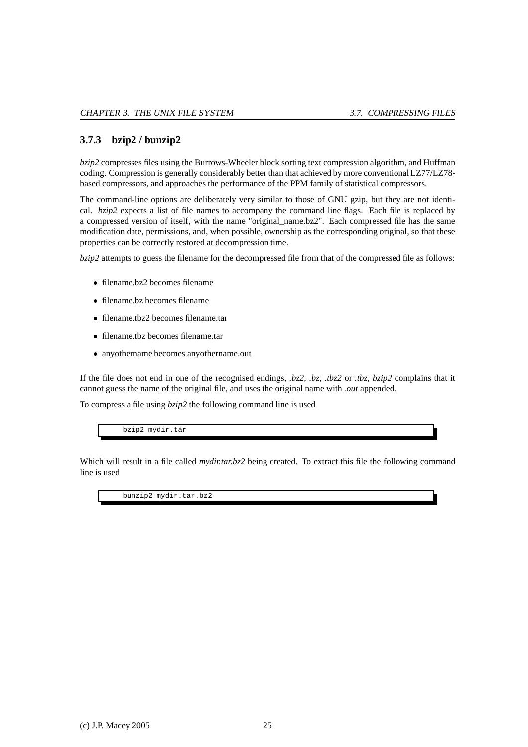#### <span id="page-28-1"></span><span id="page-28-0"></span>**3.7.3 bzip2 / bunzip2**

*bzip2* compresses files using the Burrows-Wheeler block sorting text compression algorithm, and Huffman coding. Compression is generally considerably better than that achieved by more conventional LZ77/LZ78 based compressors, and approaches the performance of the PPM family of statistical compressors.

The command-line options are deliberately very similar to those of GNU gzip, but they are not identical. *bzip2* expects a list of file names to accompany the command line flags. Each file is replaced by a compressed version of itself, with the name "original\_name.bz2". Each compressed file has the same modification date, permissions, and, when possible, ownership as the corresponding original, so that these properties can be correctly restored at decompression time.

*bzip2* attempts to guess the filename for the decompressed file from that of the compressed file as follows:

- filename.bz2 becomes filename
- filename.bz becomes filename
- filename.tbz2 becomes filename.tar
- filename.tbz becomes filename.tar
- anyothername becomes anyothername.out

If the file does not end in one of the recognised endings, *.bz2, .bz, .tbz2* or *.tbz*, *bzip2* complains that it cannot guess the name of the original file, and uses the original name with *.out* appended.

To compress a file using *bzip2* the following command line is used

bzip2 mydir.tar

Which will result in a file called *mydir.tar.bz2* being created. To extract this file the following command line is used

bunzip2 mydir.tar.bz2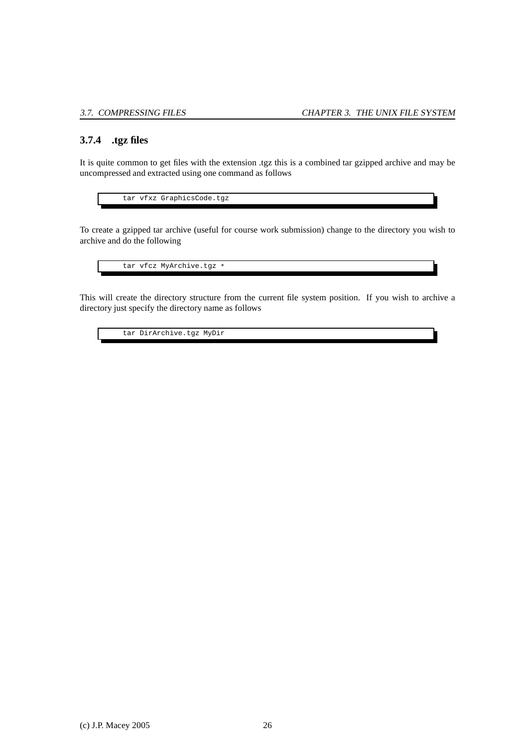#### <span id="page-29-1"></span><span id="page-29-0"></span>**3.7.4 .tgz files**

It is quite common to get files with the extension .tgz this is a combined tar gzipped archive and may be uncompressed and extracted using one command as follows

tar vfxz GraphicsCode.tgz

To create a gzipped tar archive (useful for course work submission) change to the directory you wish to archive and do the following

tar vfcz MyArchive.tgz \*

This will create the directory structure from the current file system position. If you wish to archive a directory just specify the directory name as follows

tar DirArchive.tgz MyDir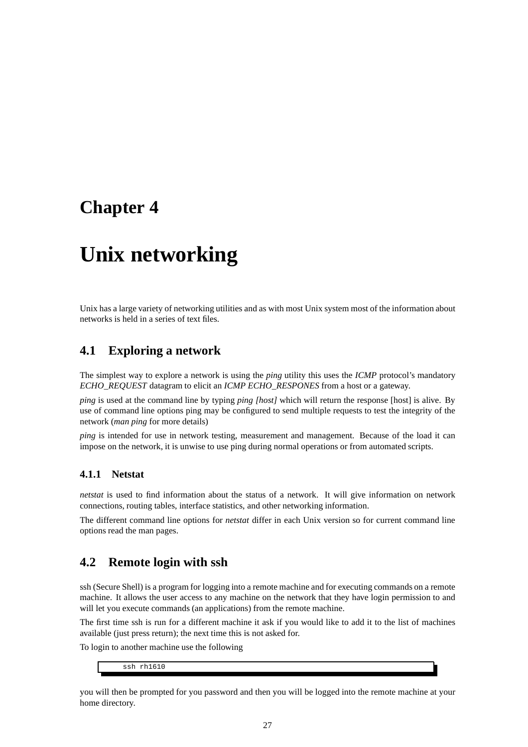## <span id="page-30-4"></span><span id="page-30-0"></span>**Chapter 4**

## **Unix networking**

Unix has a large variety of networking utilities and as with most Unix system most of the information about networks is held in a series of text files.

### <span id="page-30-1"></span>**4.1 Exploring a network**

The simplest way to explore a network is using the *ping* utility this uses the *ICMP* protocol's mandatory *ECHO\_REQUEST* datagram to elicit an *ICMP ECHO\_RESPONES* from a host or a gateway.

*ping* is used at the command line by typing *ping [host]* which will return the response [host] is alive. By use of command line options ping may be configured to send multiple requests to test the integrity of the network (*man ping* for more details)

*ping* is intended for use in network testing, measurement and management. Because of the load it can impose on the network, it is unwise to use ping during normal operations or from automated scripts.

#### <span id="page-30-2"></span>**4.1.1 Netstat**

*netstat* is used to find information about the status of a network. It will give information on network connections, routing tables, interface statistics, and other networking information.

The different command line options for *netstat* differ in each Unix version so for current command line options read the man pages.

## <span id="page-30-3"></span>**4.2 Remote login with ssh**

ssh (Secure Shell) is a program for logging into a remote machine and for executing commands on a remote machine. It allows the user access to any machine on the network that they have login permission to and will let you execute commands (an applications) from the remote machine.

The first time ssh is run for a different machine it ask if you would like to add it to the list of machines available (just press return); the next time this is not asked for.

To login to another machine use the following

ssh rh1610

you will then be prompted for you password and then you will be logged into the remote machine at your home directory.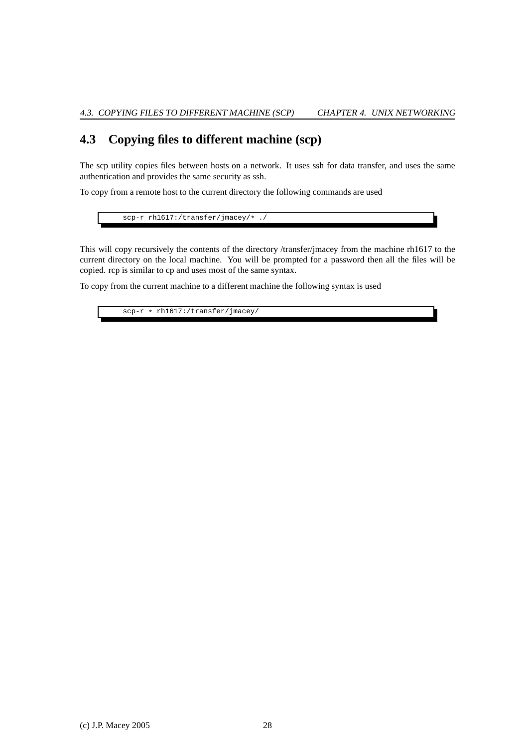## <span id="page-31-1"></span><span id="page-31-0"></span>**4.3 Copying files to different machine (scp)**

The scp utility copies files between hosts on a network. It uses ssh for data transfer, and uses the same authentication and provides the same security as ssh.

To copy from a remote host to the current directory the following commands are used

scp-r rh1617:/transfer/jmacey/\* ./

This will copy recursively the contents of the directory /transfer/jmacey from the machine rh1617 to the current directory on the local machine. You will be prompted for a password then all the files will be copied. rcp is similar to cp and uses most of the same syntax.

To copy from the current machine to a different machine the following syntax is used

scp-r \* rh1617:/transfer/jmacey/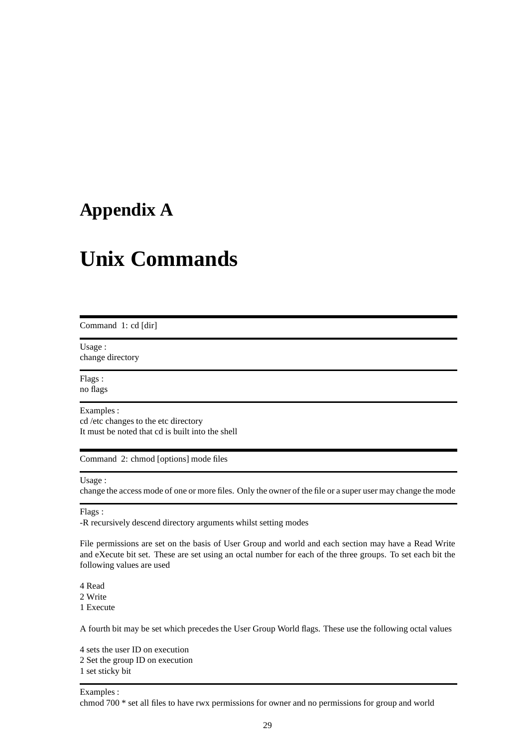## <span id="page-32-1"></span><span id="page-32-0"></span>**Appendix A**

## **Unix Commands**

Command 1: cd [dir]

Usage : change directory

Flags : no flags

Examples :

cd /etc changes to the etc directory It must be noted that cd is built into the shell

Command 2: chmod [options] mode files

#### Usage :

change the access mode of one or more files. Only the owner of the file or a super user may change the mode

#### Flags :

-R recursively descend directory arguments whilst setting modes

File permissions are set on the basis of User Group and world and each section may have a Read Write and eXecute bit set. These are set using an octal number for each of the three groups. To set each bit the following values are used

4 Read 2 Write

1 Execute

A fourth bit may be set which precedes the User Group World flags. These use the following octal values

4 sets the user ID on execution 2 Set the group ID on execution 1 set sticky bit

Examples :

chmod 700 \* set all files to have rwx permissions for owner and no permissions for group and world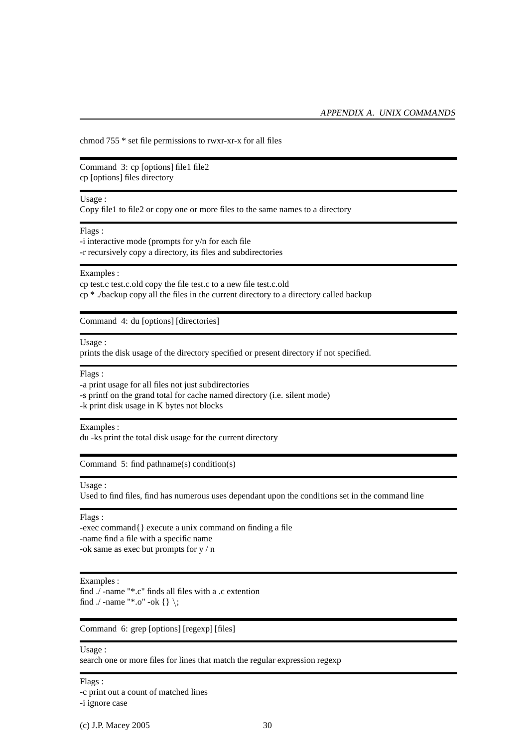<span id="page-33-0"></span>chmod 755 \* set file permissions to rwxr-xr-x for all files

Command 3: cp [options] file1 file2 cp [options] files directory

#### Usage :

Copy file1 to file2 or copy one or more files to the same names to a directory

Flags :

-i interactive mode (prompts for y/n for each file -r recursively copy a directory, its files and subdirectories

#### Examples :

cp test.c test.c.old copy the file test.c to a new file test.c.old cp \* ./backup copy all the files in the current directory to a directory called backup

Command 4: du [options] [directories]

Usage :

prints the disk usage of the directory specified or present directory if not specified.

#### Flags :

-a print usage for all files not just subdirectories

-s printf on the grand total for cache named directory (i.e. silent mode)

-k print disk usage in K bytes not blocks

#### Examples :

du -ks print the total disk usage for the current directory

Command 5: find pathname(s) condition(s)

#### Usage :

Used to find files, find has numerous uses dependant upon the conditions set in the command line

Flags :

-exec command{} execute a unix command on finding a file -name find a file with a specific name -ok same as exec but prompts for y / n

#### Examples :

find ./ -name "\*.c" finds all files with a .c extention find  $./$  -name "\*.o" -ok { } \;

#### Command 6: grep [options] [regexp] [files]

#### Usage :

search one or more files for lines that match the regular expression regexp

#### Flags :

-c print out a count of matched lines

-i ignore case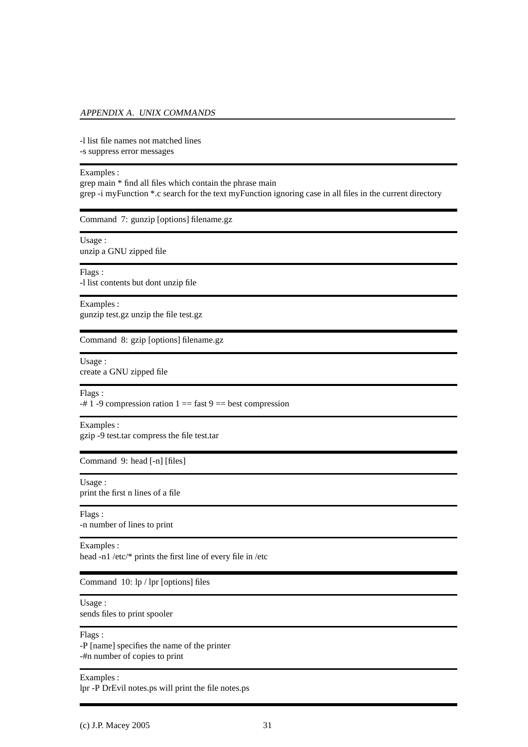#### <span id="page-34-0"></span>APPENDIX A. UNIX COMMANDS

-l list file names not matched lines -s suppress error messages

#### Examples :

grep main \* find all files which contain the phrase main grep -i myFunction \*.c search for the text myFunction ignoring case in all files in the current directory

Command 7: gunzip [options] filename.gz

Usage : unzip a GNU zipped file

Flags : -l list contents but dont unzip file

Examples : gunzip test.gz unzip the file test.gz

Command 8: gzip [options] filename.gz

Usage : create a GNU zipped file

Flags :

 $-# 1 - 9$  compression ration  $1 ==$  fast  $9 ==$  best compression

Examples :

gzip -9 test.tar compress the file test.tar

Command 9: head [-n] [files]

Usage : print the first n lines of a file

Flags : -n number of lines to print

Examples :

head -n1 /etc/\* prints the first line of every file in /etc

Command 10: lp / lpr [options] files

Usage :

sends files to print spooler

Flags :

-P [name] specifies the name of the printer -#n number of copies to print

Examples :

lpr -P DrEvil notes.ps will print the file notes.ps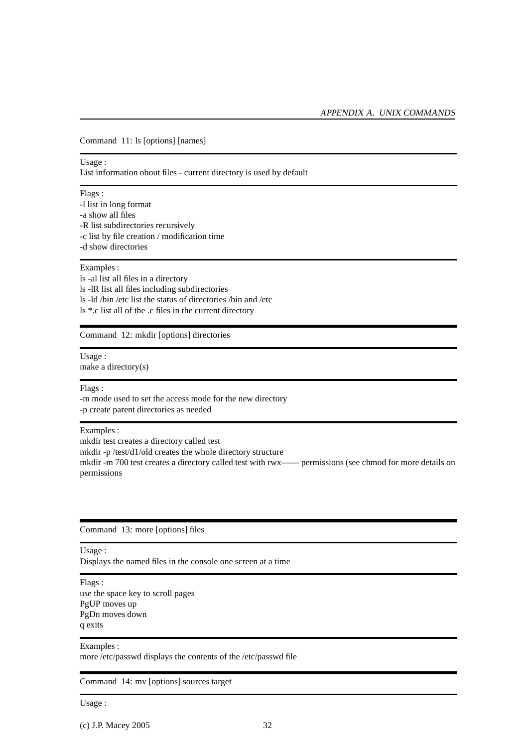<span id="page-35-0"></span>Command 11: ls [options] [names]

#### Usage :

List information obout files - current directory is used by default

#### Flags :

-l list in long format -a show all files -R list subdirectories recursively -c list by file creation / modification time -d show directories

#### Examples :

ls -al list all files in a directory ls -lR list all files including subdirectories ls -ld /bin /etc list the status of directories /bin and /etc ls \*.c list all of the .c files in the current directory

Command 12: mkdir [options] directories

## Usage :

make a directory(s)

#### Flags :

-m mode used to set the access mode for the new directory -p create parent directories as needed

#### Examples :

mkdir test creates a directory called test mkdir -p /test/d1/old creates the whole directory structure mkdir -m 700 test creates a directory called test with rwx—— permissions (see chmod for more details on permissions

#### Command 13: more [options] files

#### Usage :

Displays the named files in the console one screen at a time

#### Flags :

use the space key to scroll pages PgUP moves up PgDn moves down q exits

#### Examples :

more /etc/passwd displays the contents of the /etc/passwd file

#### Command 14: mv [options] sources target

Usage :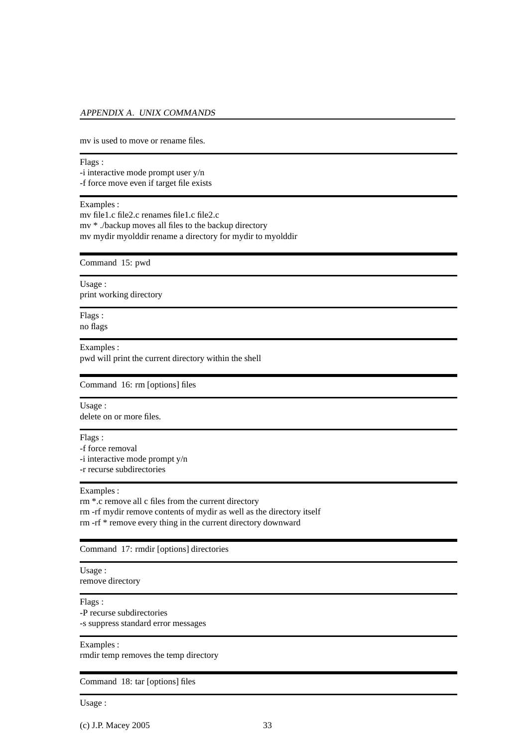#### <span id="page-36-0"></span>APPENDIX A. UNIX COMMANDS

mv is used to move or rename files.

Flags : -i interactive mode prompt user y/n -f force move even if target file exists

#### Examples :

mv file1.c file2.c renames file1.c file2.c mv \* ./backup moves all files to the backup directory mv mydir myolddir rename a directory for mydir to myolddir

Command 15: pwd

Usage : print working directory

Flags : no flags

Examples :

pwd will print the current directory within the shell

Command 16: rm [options] files

Usage :

delete on or more files.

Flags :

-f force removal

-i interactive mode prompt y/n

-r recurse subdirectories

#### Examples :

rm \*.c remove all c files from the current directory rm -rf mydir remove contents of mydir as well as the directory itself rm -rf \* remove every thing in the current directory downward

Command 17: rmdir [options] directories

Usage : remove directory

Flags :

-P recurse subdirectories

-s suppress standard error messages

#### Examples :

rmdir temp removes the temp directory

#### Command 18: tar [options] files

Usage :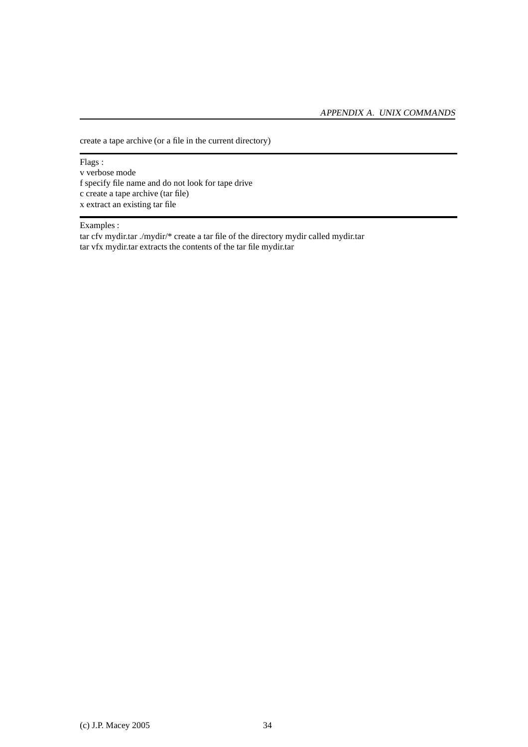create a tape archive (or a file in the current directory)

Flags : v verbose mode f specify file name and do not look for tape drive c create a tape archive (tar file) x extract an existing tar file

#### Examples :

tar cfv mydir.tar ./mydir/\* create a tar file of the directory mydir called mydir.tar tar vfx mydir.tar extracts the contents of the tar file mydir.tar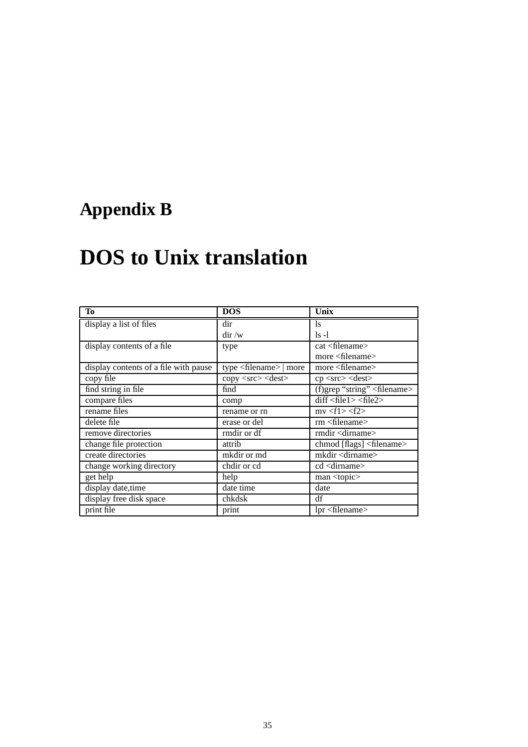## <span id="page-38-1"></span><span id="page-38-0"></span>**Appendix B**

# **DOS to Unix translation**

| To                                    | <b>DOS</b>                               | Unix                                   |
|---------------------------------------|------------------------------------------|----------------------------------------|
| display a list of files               | dir                                      | <sup>1s</sup>                          |
|                                       | $\mathrm{dir}/\mathrm{w}$                | $1s -1$                                |
| display contents of a file.           | type                                     | $cat <$ filename $>$                   |
|                                       |                                          | more $\leq$ filename $>$               |
| display contents of a file with pause | type $\langle$ filename $\rangle$   more | more $\leq$ filename $>$               |
| copy file                             | copy <src> <dest></dest></src>           | cp <src> <dest></dest></src>           |
| find string in file                   | find                                     | (f)grep "string" <filename></filename> |
| compare files                         | comp                                     | diff < file1 > file2 >                 |
| rename files                          | rename or rn                             | mv < f1 > < f2 >                       |
| delete file                           | erase or del                             | $rm <$ filename $>$                    |
| remove directories                    | rmdir or df                              | rmdir <dirname></dirname>              |
| change file protection                | attrib                                   | chmod [flags] <filename></filename>    |
| create directories                    | mkdir or md                              | mkdir <dirname></dirname>              |
| change working directory              | chdir or cd                              | cd <dirname></dirname>                 |
| get help                              | help                                     | man <topic></topic>                    |
| display date, time                    | date time                                | date                                   |
| display free disk space               | chkdsk                                   | df                                     |
| print file                            | print                                    | $1pr$ <filename></filename>            |